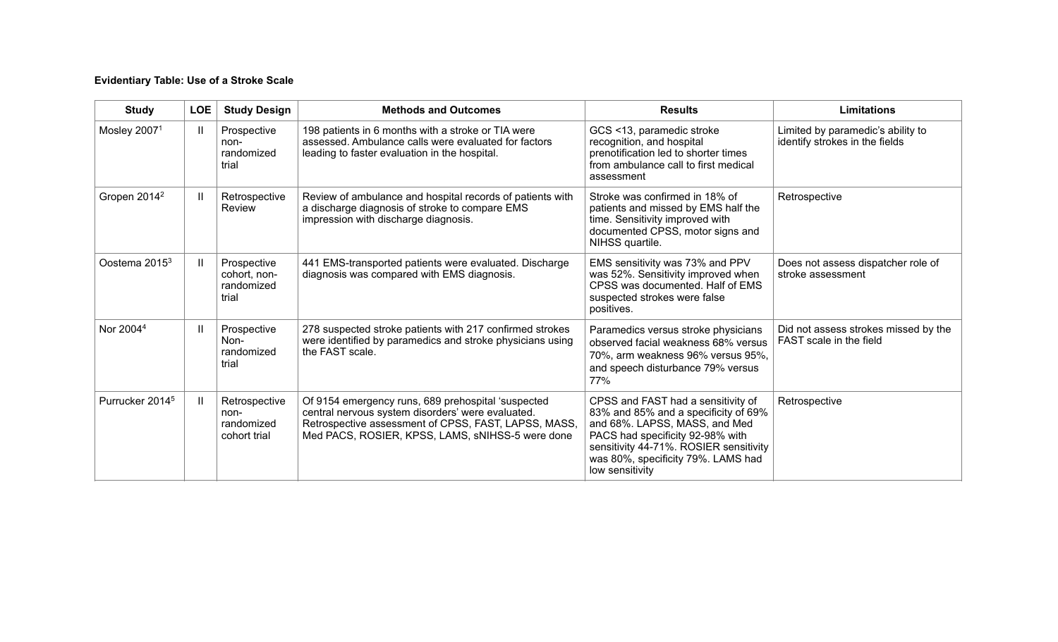# **Evidentiary Table: Use of a Stroke Scale**

| <b>Study</b>                | <b>LOE</b> | <b>Study Design</b>                                 | <b>Methods and Outcomes</b>                                                                                                                                                                                         | <b>Results</b>                                                                                                                                                                                                                                     | <b>Limitations</b>                                                  |
|-----------------------------|------------|-----------------------------------------------------|---------------------------------------------------------------------------------------------------------------------------------------------------------------------------------------------------------------------|----------------------------------------------------------------------------------------------------------------------------------------------------------------------------------------------------------------------------------------------------|---------------------------------------------------------------------|
| Mosley 20071                | H          | Prospective<br>non-<br>randomized<br>trial          | 198 patients in 6 months with a stroke or TIA were<br>assessed. Ambulance calls were evaluated for factors<br>leading to faster evaluation in the hospital.                                                         | GCS <13, paramedic stroke<br>recognition, and hospital<br>prenotification led to shorter times<br>from ambulance call to first medical<br>assessment                                                                                               | Limited by paramedic's ability to<br>identify strokes in the fields |
| Gropen 2014 <sup>2</sup>    |            | Retrospective<br>Review                             | Review of ambulance and hospital records of patients with<br>a discharge diagnosis of stroke to compare EMS<br>impression with discharge diagnosis.                                                                 | Stroke was confirmed in 18% of<br>patients and missed by EMS half the<br>time. Sensitivity improved with<br>documented CPSS, motor signs and<br>NIHSS quartile.                                                                                    | Retrospective                                                       |
| Oostema 2015 <sup>3</sup>   |            | Prospective<br>cohort, non-<br>randomized<br>trial  | 441 EMS-transported patients were evaluated. Discharge<br>diagnosis was compared with EMS diagnosis.                                                                                                                | EMS sensitivity was 73% and PPV<br>was 52%. Sensitivity improved when<br>CPSS was documented. Half of EMS<br>suspected strokes were false<br>positives.                                                                                            | Does not assess dispatcher role of<br>stroke assessment             |
| Nor 2004 <sup>4</sup>       |            | Prospective<br>Non-<br>randomized<br>trial          | 278 suspected stroke patients with 217 confirmed strokes<br>were identified by paramedics and stroke physicians using<br>the FAST scale.                                                                            | Paramedics versus stroke physicians<br>observed facial weakness 68% versus<br>70%, arm weakness 96% versus 95%,<br>and speech disturbance 79% versus<br>77%                                                                                        | Did not assess strokes missed by the<br>FAST scale in the field     |
| Purrucker 2014 <sup>5</sup> |            | Retrospective<br>non-<br>randomized<br>cohort trial | Of 9154 emergency runs, 689 prehospital 'suspected<br>central nervous system disorders' were evaluated.<br>Retrospective assessment of CPSS, FAST, LAPSS, MASS,<br>Med PACS, ROSIER, KPSS, LAMS, sNIHSS-5 were done | CPSS and FAST had a sensitivity of<br>83% and 85% and a specificity of 69%<br>and 68%. LAPSS, MASS, and Med<br>PACS had specificity 92-98% with<br>sensitivity 44-71%. ROSIER sensitivity<br>was 80%, specificity 79%. LAMS had<br>low sensitivity | Retrospective                                                       |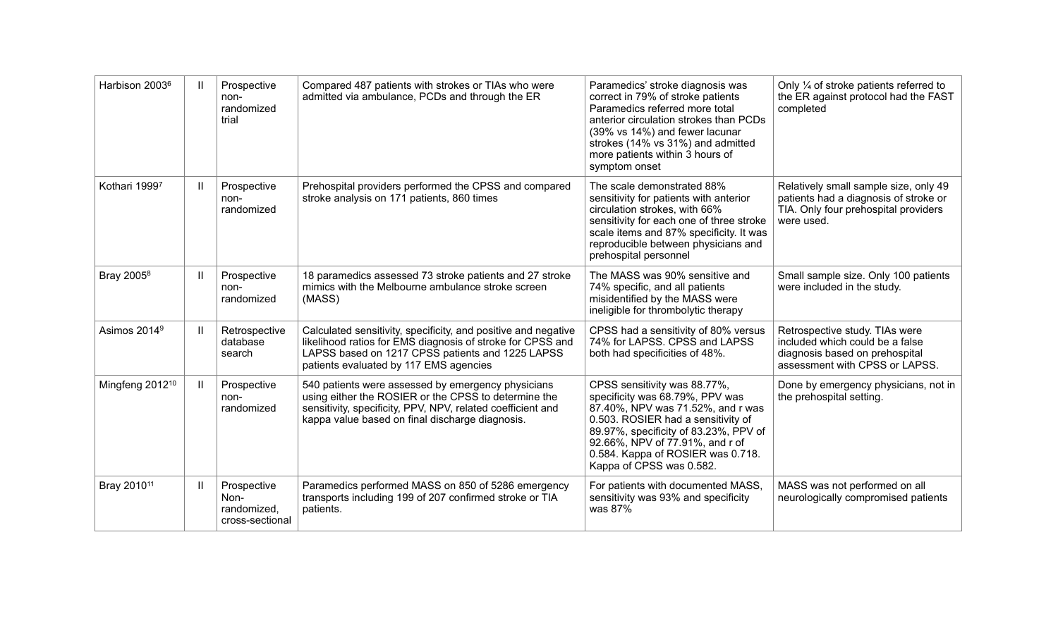| Harbison 2003 <sup>6</sup>  | $\mathbf{H}$  | Prospective<br>non-<br>randomized<br>trial            | Compared 487 patients with strokes or TIAs who were<br>admitted via ambulance, PCDs and through the ER                                                                                                                       | Paramedics' stroke diagnosis was<br>correct in 79% of stroke patients<br>Paramedics referred more total<br>anterior circulation strokes than PCDs<br>(39% vs 14%) and fewer lacunar<br>strokes (14% vs 31%) and admitted<br>more patients within 3 hours of<br>symptom onset            | Only 1/4 of stroke patients referred to<br>the ER against protocol had the FAST<br>completed                                          |
|-----------------------------|---------------|-------------------------------------------------------|------------------------------------------------------------------------------------------------------------------------------------------------------------------------------------------------------------------------------|-----------------------------------------------------------------------------------------------------------------------------------------------------------------------------------------------------------------------------------------------------------------------------------------|---------------------------------------------------------------------------------------------------------------------------------------|
| Kothari 19997               | Ш             | Prospective<br>non-<br>randomized                     | Prehospital providers performed the CPSS and compared<br>stroke analysis on 171 patients, 860 times                                                                                                                          | The scale demonstrated 88%<br>sensitivity for patients with anterior<br>circulation strokes, with 66%<br>sensitivity for each one of three stroke<br>scale items and 87% specificity. It was<br>reproducible between physicians and<br>prehospital personnel                            | Relatively small sample size, only 49<br>patients had a diagnosis of stroke or<br>TIA. Only four prehospital providers<br>were used.  |
| Bray 2005 <sup>8</sup>      | $\mathbf{II}$ | Prospective<br>non-<br>randomized                     | 18 paramedics assessed 73 stroke patients and 27 stroke<br>mimics with the Melbourne ambulance stroke screen<br>(MASS)                                                                                                       | The MASS was 90% sensitive and<br>74% specific, and all patients<br>misidentified by the MASS were<br>ineligible for thrombolytic therapy                                                                                                                                               | Small sample size. Only 100 patients<br>were included in the study.                                                                   |
| Asimos 2014 <sup>9</sup>    | $\mathbf{H}$  | Retrospective<br>database<br>search                   | Calculated sensitivity, specificity, and positive and negative<br>likelihood ratios for EMS diagnosis of stroke for CPSS and<br>LAPSS based on 1217 CPSS patients and 1225 LAPSS<br>patients evaluated by 117 EMS agencies   | CPSS had a sensitivity of 80% versus<br>74% for LAPSS. CPSS and LAPSS<br>both had specificities of 48%.                                                                                                                                                                                 | Retrospective study. TIAs were<br>included which could be a false<br>diagnosis based on prehospital<br>assessment with CPSS or LAPSS. |
| Mingfeng 2012 <sup>10</sup> | $\mathbf{H}$  | Prospective<br>non-<br>randomized                     | 540 patients were assessed by emergency physicians<br>using either the ROSIER or the CPSS to determine the<br>sensitivity, specificity, PPV, NPV, related coefficient and<br>kappa value based on final discharge diagnosis. | CPSS sensitivity was 88.77%,<br>specificity was 68.79%, PPV was<br>87.40%, NPV was 71.52%, and r was<br>0.503. ROSIER had a sensitivity of<br>89.97%, specificity of 83.23%, PPV of<br>92.66%, NPV of 77.91%, and r of<br>0.584. Kappa of ROSIER was 0.718.<br>Kappa of CPSS was 0.582. | Done by emergency physicians, not in<br>the prehospital setting.                                                                      |
| Bray 2010 <sup>11</sup>     | Ш             | Prospective<br>Non-<br>randomized,<br>cross-sectional | Paramedics performed MASS on 850 of 5286 emergency<br>transports including 199 of 207 confirmed stroke or TIA<br>patients.                                                                                                   | For patients with documented MASS,<br>sensitivity was 93% and specificity<br>was 87%                                                                                                                                                                                                    | MASS was not performed on all<br>neurologically compromised patients                                                                  |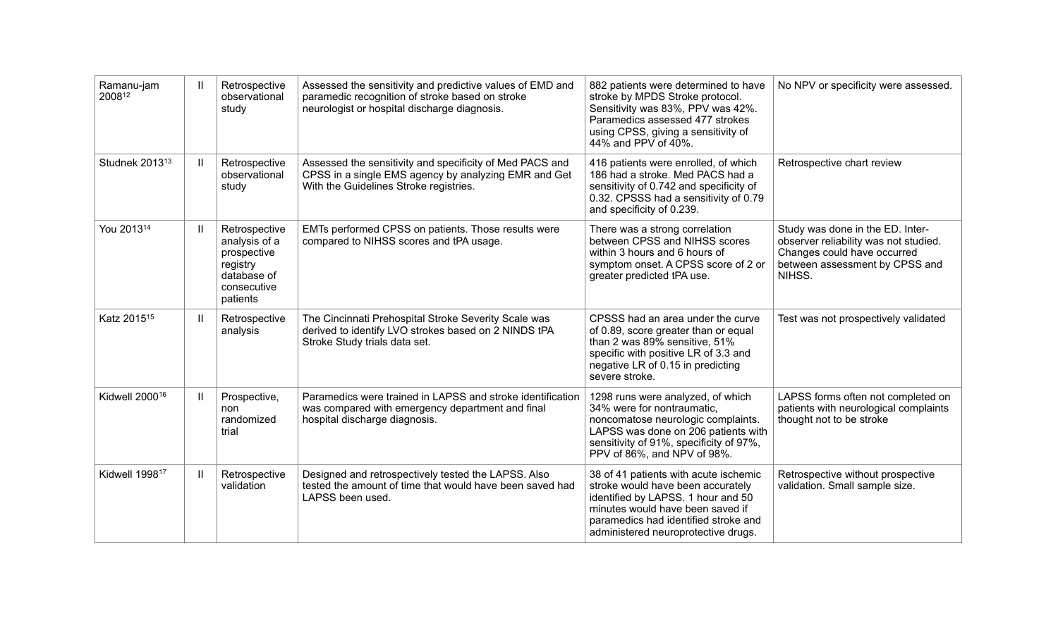| Ramanu-jam<br>200812       | H            | Retrospective<br>observational<br>study                                                             | Assessed the sensitivity and predictive values of EMD and<br>paramedic recognition of stroke based on stroke<br>neurologist or hospital discharge diagnosis. | 882 patients were determined to have<br>stroke by MPDS Stroke protocol.<br>Sensitivity was 83%, PPV was 42%.<br>Paramedics assessed 477 strokes<br>using CPSS, giving a sensitivity of<br>44% and PPV of 40%.                       | No NPV or specificity were assessed.                                                                                                                 |
|----------------------------|--------------|-----------------------------------------------------------------------------------------------------|--------------------------------------------------------------------------------------------------------------------------------------------------------------|-------------------------------------------------------------------------------------------------------------------------------------------------------------------------------------------------------------------------------------|------------------------------------------------------------------------------------------------------------------------------------------------------|
| Studnek 2013 <sup>13</sup> | $\mathbf{I}$ | Retrospective<br>observational<br>study                                                             | Assessed the sensitivity and specificity of Med PACS and<br>CPSS in a single EMS agency by analyzing EMR and Get<br>With the Guidelines Stroke registries.   | 416 patients were enrolled, of which<br>186 had a stroke. Med PACS had a<br>sensitivity of 0.742 and specificity of<br>0.32. CPSSS had a sensitivity of 0.79<br>and specificity of 0.239.                                           | Retrospective chart review                                                                                                                           |
| You 2013 <sup>14</sup>     | H            | Retrospective<br>analysis of a<br>prospective<br>registry<br>database of<br>consecutive<br>patients | EMTs performed CPSS on patients. Those results were<br>compared to NIHSS scores and tPA usage.                                                               | There was a strong correlation<br>between CPSS and NIHSS scores<br>within 3 hours and 6 hours of<br>symptom onset. A CPSS score of 2 or<br>greater predicted tPA use.                                                               | Study was done in the ED. Inter-<br>observer reliability was not studied.<br>Changes could have occurred<br>between assessment by CPSS and<br>NIHSS. |
| Katz 2015 <sup>15</sup>    | H            | Retrospective<br>analysis                                                                           | The Cincinnati Prehospital Stroke Severity Scale was<br>derived to identify LVO strokes based on 2 NINDS tPA<br>Stroke Study trials data set.                | CPSSS had an area under the curve<br>of 0.89, score greater than or equal<br>than 2 was 89% sensitive, 51%<br>specific with positive LR of 3.3 and<br>negative LR of 0.15 in predicting<br>severe stroke.                           | Test was not prospectively validated                                                                                                                 |
| Kidwell 2000 <sup>16</sup> | H            | Prospective,<br>non<br>randomized<br>trial                                                          | Paramedics were trained in LAPSS and stroke identification<br>was compared with emergency department and final<br>hospital discharge diagnosis.              | 1298 runs were analyzed, of which<br>34% were for nontraumatic.<br>noncomatose neurologic complaints.<br>LAPSS was done on 206 patients with<br>sensitivity of 91%, specificity of 97%,<br>PPV of 86%, and NPV of 98%.              | LAPSS forms often not completed on<br>patients with neurological complaints<br>thought not to be stroke                                              |
| Kidwell 1998 <sup>17</sup> | $\mathbf{I}$ | Retrospective<br>validation                                                                         | Designed and retrospectively tested the LAPSS. Also<br>tested the amount of time that would have been saved had<br>LAPSS been used.                          | 38 of 41 patients with acute ischemic<br>stroke would have been accurately<br>identified by LAPSS. 1 hour and 50<br>minutes would have been saved if<br>paramedics had identified stroke and<br>administered neuroprotective drugs. | Retrospective without prospective<br>validation. Small sample size.                                                                                  |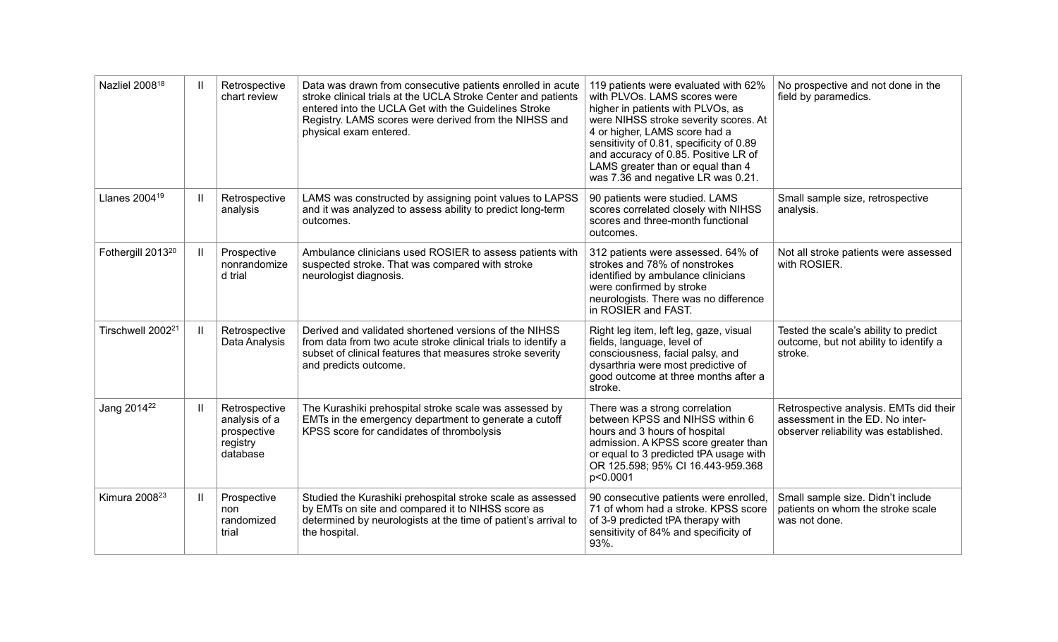| Nazliel 2008 <sup>18</sup>    | $\mathbf{II}$ | Retrospective<br>chart review                                         | Data was drawn from consecutive patients enrolled in acute<br>stroke clinical trials at the UCLA Stroke Center and patients<br>entered into the UCLA Get with the Guidelines Stroke<br>Registry. LAMS scores were derived from the NIHSS and<br>physical exam entered. | 119 patients were evaluated with 62%<br>with PLVOs. LAMS scores were<br>higher in patients with PLVOs, as<br>were NIHSS stroke severity scores. At<br>4 or higher, LAMS score had a<br>sensitivity of 0.81, specificity of 0.89<br>and accuracy of 0.85. Positive LR of<br>LAMS greater than or equal than 4<br>was 7.36 and negative LR was 0.21. | No prospective and not done in the<br>field by paramedics.                                                         |
|-------------------------------|---------------|-----------------------------------------------------------------------|------------------------------------------------------------------------------------------------------------------------------------------------------------------------------------------------------------------------------------------------------------------------|----------------------------------------------------------------------------------------------------------------------------------------------------------------------------------------------------------------------------------------------------------------------------------------------------------------------------------------------------|--------------------------------------------------------------------------------------------------------------------|
| Llanes 2004 <sup>19</sup>     | Ш             | Retrospective<br>analysis                                             | LAMS was constructed by assigning point values to LAPSS<br>and it was analyzed to assess ability to predict long-term<br>outcomes.                                                                                                                                     | 90 patients were studied. LAMS<br>scores correlated closely with NIHSS<br>scores and three-month functional<br>outcomes.                                                                                                                                                                                                                           | Small sample size, retrospective<br>analysis.                                                                      |
| Fothergill 2013 <sup>20</sup> | $\mathbf{II}$ | Prospective<br>nonrandomize<br>d trial                                | Ambulance clinicians used ROSIER to assess patients with<br>suspected stroke. That was compared with stroke<br>neurologist diagnosis.                                                                                                                                  | 312 patients were assessed. 64% of<br>strokes and 78% of nonstrokes<br>identified by ambulance clinicians<br>were confirmed by stroke<br>neurologists. There was no difference<br>in ROSIER and FAST.                                                                                                                                              | Not all stroke patients were assessed<br>with ROSIER.                                                              |
| Tirschwell 2002 <sup>21</sup> | Ш.            | Retrospective<br>Data Analysis                                        | Derived and validated shortened versions of the NIHSS<br>from data from two acute stroke clinical trials to identify a<br>subset of clinical features that measures stroke severity<br>and predicts outcome.                                                           | Right leg item, left leg, gaze, visual<br>fields, language, level of<br>consciousness, facial palsy, and<br>dysarthria were most predictive of<br>good outcome at three months after a<br>stroke.                                                                                                                                                  | Tested the scale's ability to predict<br>outcome, but not ability to identify a<br>stroke.                         |
| Jang 2014 <sup>22</sup>       | Ш.            | Retrospective<br>analysis of a<br>prospective<br>registry<br>database | The Kurashiki prehospital stroke scale was assessed by<br>EMTs in the emergency department to generate a cutoff<br>KPSS score for candidates of thrombolysis                                                                                                           | There was a strong correlation<br>between KPSS and NIHSS within 6<br>hours and 3 hours of hospital<br>admission. A KPSS score greater than<br>or equal to 3 predicted tPA usage with<br>OR 125.598; 95% CI 16.443-959.368<br>p<0.0001                                                                                                              | Retrospective analysis. EMTs did their<br>assessment in the ED. No inter-<br>observer reliability was established. |
| Kimura 2008 <sup>23</sup>     | $\mathbf{H}$  | Prospective<br>non<br>randomized<br>trial                             | Studied the Kurashiki prehospital stroke scale as assessed<br>by EMTs on site and compared it to NIHSS score as<br>determined by neurologists at the time of patient's arrival to<br>the hospital.                                                                     | 90 consecutive patients were enrolled,<br>71 of whom had a stroke. KPSS score<br>of 3-9 predicted tPA therapy with<br>sensitivity of 84% and specificity of<br>93%.                                                                                                                                                                                | Small sample size. Didn't include<br>patients on whom the stroke scale<br>was not done.                            |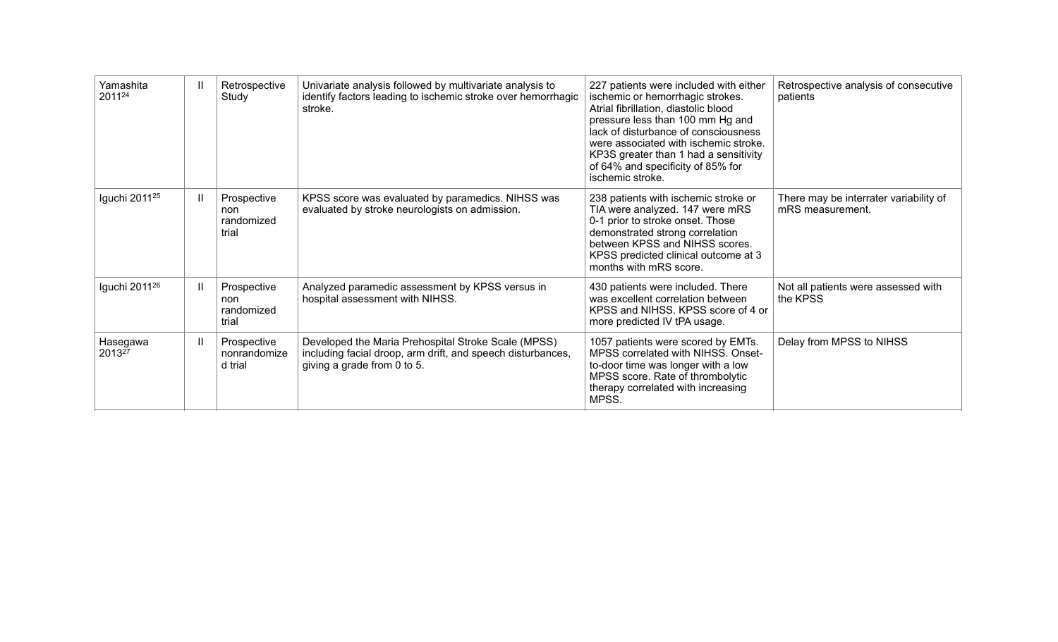| Yamashita<br>201124       | Ш. | Retrospective<br>Study                    | Univariate analysis followed by multivariate analysis to<br>identify factors leading to ischemic stroke over hemorrhagic<br>stroke.               | 227 patients were included with either<br>ischemic or hemorrhagic strokes.<br>Atrial fibrillation, diastolic blood<br>pressure less than 100 mm Hg and<br>lack of disturbance of consciousness<br>were associated with ischemic stroke.<br>KP3S greater than 1 had a sensitivity<br>of 64% and specificity of 85% for<br>ischemic stroke. | Retrospective analysis of consecutive<br>patients          |
|---------------------------|----|-------------------------------------------|---------------------------------------------------------------------------------------------------------------------------------------------------|-------------------------------------------------------------------------------------------------------------------------------------------------------------------------------------------------------------------------------------------------------------------------------------------------------------------------------------------|------------------------------------------------------------|
| Iguchi 2011 <sup>25</sup> | Ш. | Prospective<br>non<br>randomized<br>trial | KPSS score was evaluated by paramedics. NIHSS was<br>evaluated by stroke neurologists on admission.                                               | 238 patients with ischemic stroke or<br>TIA were analyzed. 147 were mRS<br>0-1 prior to stroke onset. Those<br>demonstrated strong correlation<br>between KPSS and NIHSS scores.<br>KPSS predicted clinical outcome at 3<br>months with mRS score.                                                                                        | There may be interrater variability of<br>mRS measurement. |
| Iguchi 2011 <sup>26</sup> | Ш. | Prospective<br>non<br>randomized<br>trial | Analyzed paramedic assessment by KPSS versus in<br>hospital assessment with NIHSS.                                                                | 430 patients were included. There<br>was excellent correlation between<br>KPSS and NIHSS. KPSS score of 4 or<br>more predicted IV tPA usage.                                                                                                                                                                                              | Not all patients were assessed with<br>the KPSS            |
| Hasegawa<br>201327        | Ш. | Prospective<br>nonrandomize<br>d trial    | Developed the Maria Prehospital Stroke Scale (MPSS)<br>including facial droop, arm drift, and speech disturbances,<br>giving a grade from 0 to 5. | 1057 patients were scored by EMTs.<br>MPSS correlated with NIHSS. Onset-<br>to-door time was longer with a low<br>MPSS score. Rate of thrombolytic<br>therapy correlated with increasing<br>MPSS.                                                                                                                                         | Delay from MPSS to NIHSS                                   |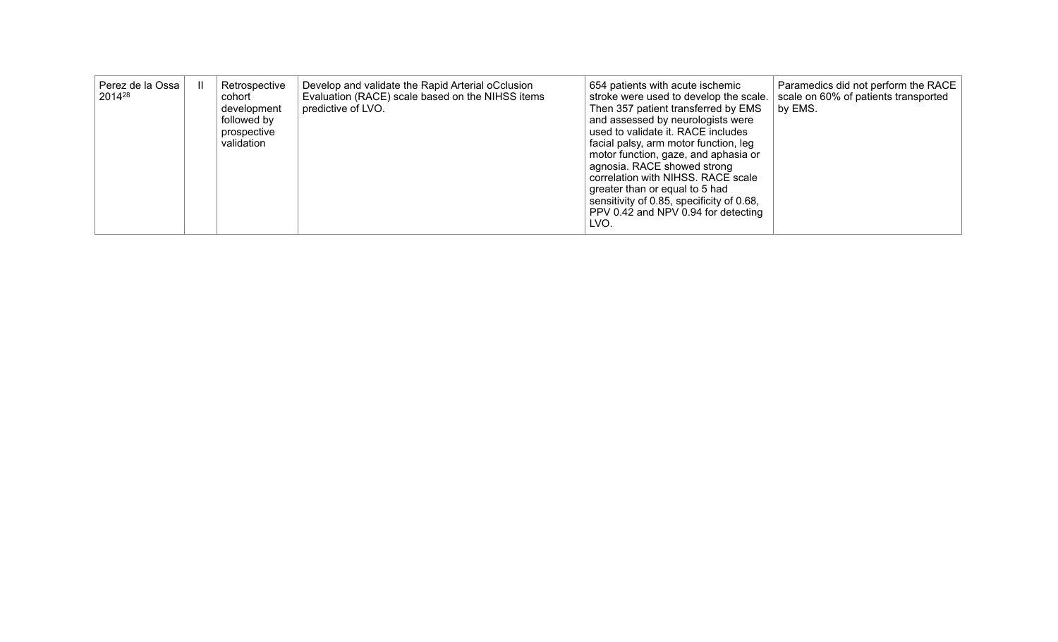| Perez de la Ossa<br>201428 |  | Retrospective<br>cohort<br>development<br>followed by<br>prospective<br>validation | Develop and validate the Rapid Arterial oCclusion<br>Evaluation (RACE) scale based on the NIHSS items<br>predictive of LVO. | 654 patients with acute ischemic<br>stroke were used to develop the scale.<br>Then 357 patient transferred by EMS<br>and assessed by neurologists were<br>used to validate it. RACE includes<br>facial palsy, arm motor function, leg<br>motor function, gaze, and aphasia or<br>agnosia. RACE showed strong<br>correlation with NIHSS. RACE scale<br>greater than or equal to 5 had<br>sensitivity of 0.85, specificity of 0.68,<br>PPV 0.42 and NPV 0.94 for detecting<br>LVO. | Paramedics did not perform the RACE<br>scale on 60% of patients transported<br>by EMS. |
|----------------------------|--|------------------------------------------------------------------------------------|-----------------------------------------------------------------------------------------------------------------------------|----------------------------------------------------------------------------------------------------------------------------------------------------------------------------------------------------------------------------------------------------------------------------------------------------------------------------------------------------------------------------------------------------------------------------------------------------------------------------------|----------------------------------------------------------------------------------------|
|----------------------------|--|------------------------------------------------------------------------------------|-----------------------------------------------------------------------------------------------------------------------------|----------------------------------------------------------------------------------------------------------------------------------------------------------------------------------------------------------------------------------------------------------------------------------------------------------------------------------------------------------------------------------------------------------------------------------------------------------------------------------|----------------------------------------------------------------------------------------|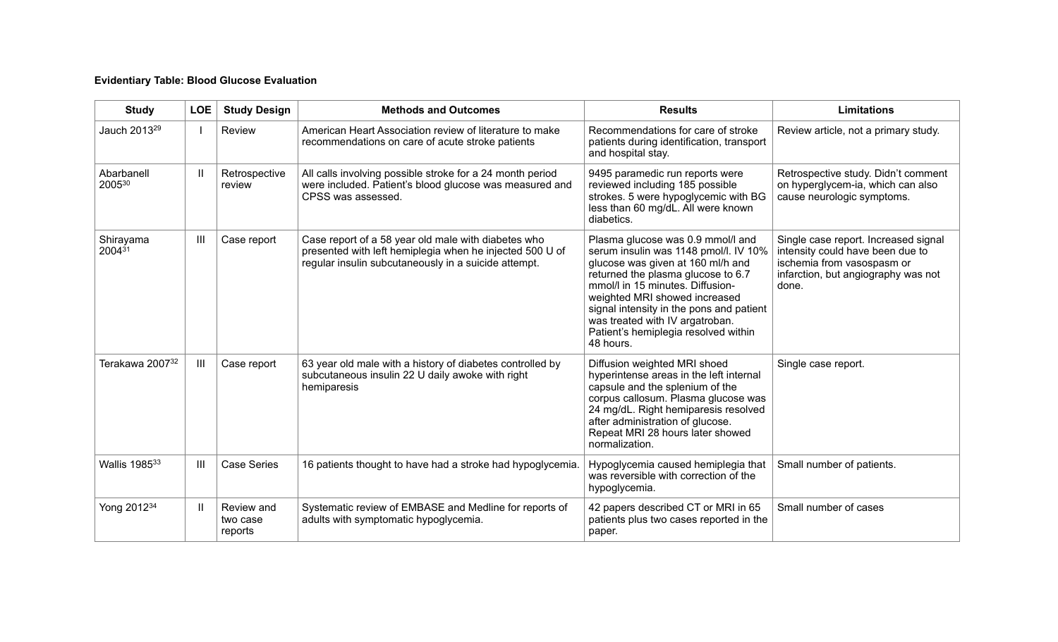# **Evidentiary Table: Blood Glucose Evaluation**

| <b>Study</b>             | <b>LOE</b>     | <b>Study Design</b>               | <b>Methods and Outcomes</b>                                                                                                                                             | <b>Results</b>                                                                                                                                                                                                                                                                                                                                                 | <b>Limitations</b>                                                                                                                                     |
|--------------------------|----------------|-----------------------------------|-------------------------------------------------------------------------------------------------------------------------------------------------------------------------|----------------------------------------------------------------------------------------------------------------------------------------------------------------------------------------------------------------------------------------------------------------------------------------------------------------------------------------------------------------|--------------------------------------------------------------------------------------------------------------------------------------------------------|
| Jauch 2013 <sup>29</sup> |                | Review                            | American Heart Association review of literature to make<br>recommendations on care of acute stroke patients                                                             | Recommendations for care of stroke<br>patients during identification, transport<br>and hospital stay.                                                                                                                                                                                                                                                          | Review article, not a primary study.                                                                                                                   |
| Abarbanell<br>200530     | Ш              | Retrospective<br>review           | All calls involving possible stroke for a 24 month period<br>were included. Patient's blood glucose was measured and<br>CPSS was assessed.                              | 9495 paramedic run reports were<br>reviewed including 185 possible<br>strokes. 5 were hypoglycemic with BG<br>less than 60 mg/dL. All were known<br>diabetics.                                                                                                                                                                                                 | Retrospective study. Didn't comment<br>on hyperglycem-ia, which can also<br>cause neurologic symptoms.                                                 |
| Shirayama<br>$2004^{31}$ | $\mathbf{III}$ | Case report                       | Case report of a 58 year old male with diabetes who<br>presented with left hemiplegia when he injected 500 U of<br>regular insulin subcutaneously in a suicide attempt. | Plasma glucose was 0.9 mmol/l and<br>serum insulin was 1148 pmol/l. IV 10%<br>glucose was given at 160 ml/h and<br>returned the plasma glucose to 6.7<br>mmol/l in 15 minutes. Diffusion-<br>weighted MRI showed increased<br>signal intensity in the pons and patient<br>was treated with IV argatroban.<br>Patient's hemiplegia resolved within<br>48 hours. | Single case report. Increased signal<br>intensity could have been due to<br>ischemia from vasospasm or<br>infarction, but angiography was not<br>done. |
| Terakawa 200732          | Ш              | Case report                       | 63 year old male with a history of diabetes controlled by<br>subcutaneous insulin 22 U daily awoke with right<br>hemiparesis                                            | Diffusion weighted MRI shoed<br>hyperintense areas in the left internal<br>capsule and the splenium of the<br>corpus callosum. Plasma glucose was<br>24 mg/dL. Right hemiparesis resolved<br>after administration of glucose.<br>Repeat MRI 28 hours later showed<br>normalization.                                                                            | Single case report.                                                                                                                                    |
| Wallis 198533            | Ш              | <b>Case Series</b>                | 16 patients thought to have had a stroke had hypoglycemia.                                                                                                              | Hypoglycemia caused hemiplegia that<br>was reversible with correction of the<br>hypoglycemia.                                                                                                                                                                                                                                                                  | Small number of patients.                                                                                                                              |
| Yong 2012 <sup>34</sup>  | $\mathbf{I}$   | Review and<br>two case<br>reports | Systematic review of EMBASE and Medline for reports of<br>adults with symptomatic hypoglycemia.                                                                         | 42 papers described CT or MRI in 65<br>patients plus two cases reported in the<br>paper.                                                                                                                                                                                                                                                                       | Small number of cases                                                                                                                                  |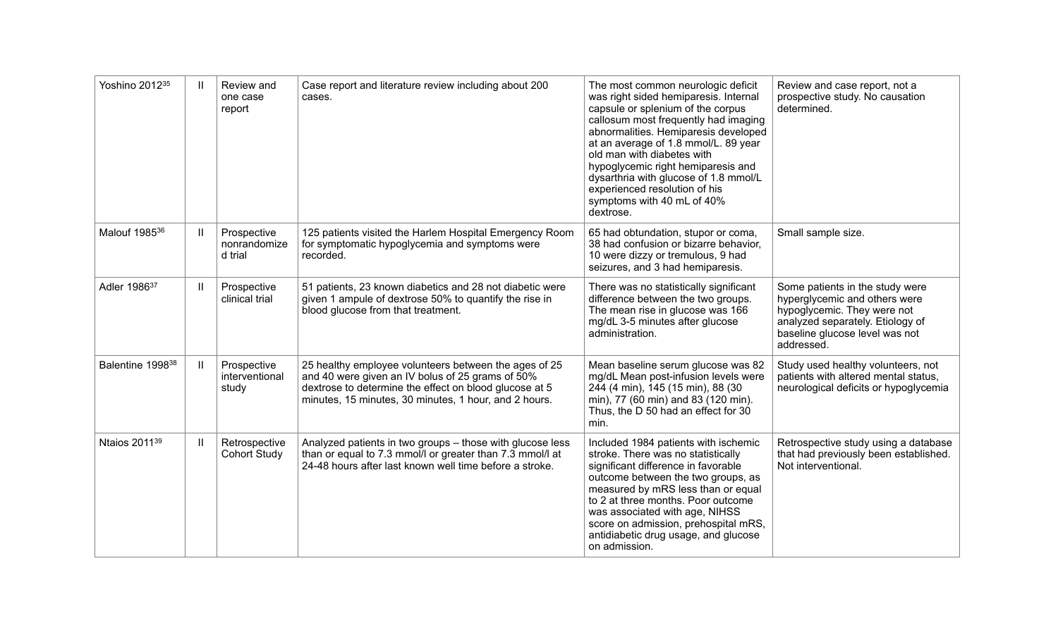| Yoshino 201235               | $\mathbf{I}$               | Review and<br>one case<br>report       | Case report and literature review including about 200<br>cases.                                                                                                                                                              | The most common neurologic deficit<br>was right sided hemiparesis. Internal<br>capsule or splenium of the corpus<br>callosum most frequently had imaging<br>abnormalities. Hemiparesis developed<br>at an average of 1.8 mmol/L. 89 year<br>old man with diabetes with<br>hypoglycemic right hemiparesis and<br>dysarthria with glucose of 1.8 mmol/L<br>experienced resolution of his<br>symptoms with 40 mL of 40%<br>dextrose. | Review and case report, not a<br>prospective study. No causation<br>determined.                                                                                                     |
|------------------------------|----------------------------|----------------------------------------|------------------------------------------------------------------------------------------------------------------------------------------------------------------------------------------------------------------------------|-----------------------------------------------------------------------------------------------------------------------------------------------------------------------------------------------------------------------------------------------------------------------------------------------------------------------------------------------------------------------------------------------------------------------------------|-------------------------------------------------------------------------------------------------------------------------------------------------------------------------------------|
| Malouf 1985 <sup>36</sup>    | $\mathbf{H}$               | Prospective<br>nonrandomize<br>d trial | 125 patients visited the Harlem Hospital Emergency Room<br>for symptomatic hypoglycemia and symptoms were<br>recorded.                                                                                                       | 65 had obtundation, stupor or coma,<br>38 had confusion or bizarre behavior,<br>10 were dizzy or tremulous, 9 had<br>seizures, and 3 had hemiparesis.                                                                                                                                                                                                                                                                             | Small sample size.                                                                                                                                                                  |
| Adler 1986 <sup>37</sup>     | $\ensuremath{\mathsf{II}}$ | Prospective<br>clinical trial          | 51 patients, 23 known diabetics and 28 not diabetic were<br>given 1 ampule of dextrose 50% to quantify the rise in<br>blood glucose from that treatment.                                                                     | There was no statistically significant<br>difference between the two groups.<br>The mean rise in glucose was 166<br>mg/dL 3-5 minutes after glucose<br>administration.                                                                                                                                                                                                                                                            | Some patients in the study were<br>hyperglycemic and others were<br>hypoglycemic. They were not<br>analyzed separately. Etiology of<br>baseline glucose level was not<br>addressed. |
| Balentine 1998 <sup>38</sup> | $\mathbf{H}$               | Prospective<br>interventional<br>study | 25 healthy employee volunteers between the ages of 25<br>and 40 were given an IV bolus of 25 grams of 50%<br>dextrose to determine the effect on blood glucose at 5<br>minutes, 15 minutes, 30 minutes, 1 hour, and 2 hours. | Mean baseline serum glucose was 82<br>mg/dL Mean post-infusion levels were<br>244 (4 min), 145 (15 min), 88 (30<br>min), 77 (60 min) and 83 (120 min).<br>Thus, the D 50 had an effect for 30<br>min.                                                                                                                                                                                                                             | Study used healthy volunteers, not<br>patients with altered mental status,<br>neurological deficits or hypoglycemia                                                                 |
| Ntaios 2011 <sup>39</sup>    | $\mathsf{II}$              | Retrospective<br><b>Cohort Study</b>   | Analyzed patients in two groups - those with glucose less<br>than or equal to 7.3 mmol/l or greater than 7.3 mmol/l at<br>24-48 hours after last known well time before a stroke.                                            | Included 1984 patients with ischemic<br>stroke. There was no statistically<br>significant difference in favorable<br>outcome between the two groups, as<br>measured by mRS less than or equal<br>to 2 at three months. Poor outcome<br>was associated with age, NIHSS<br>score on admission, prehospital mRS,<br>antidiabetic drug usage, and glucose<br>on admission.                                                            | Retrospective study using a database<br>that had previously been established.<br>Not interventional.                                                                                |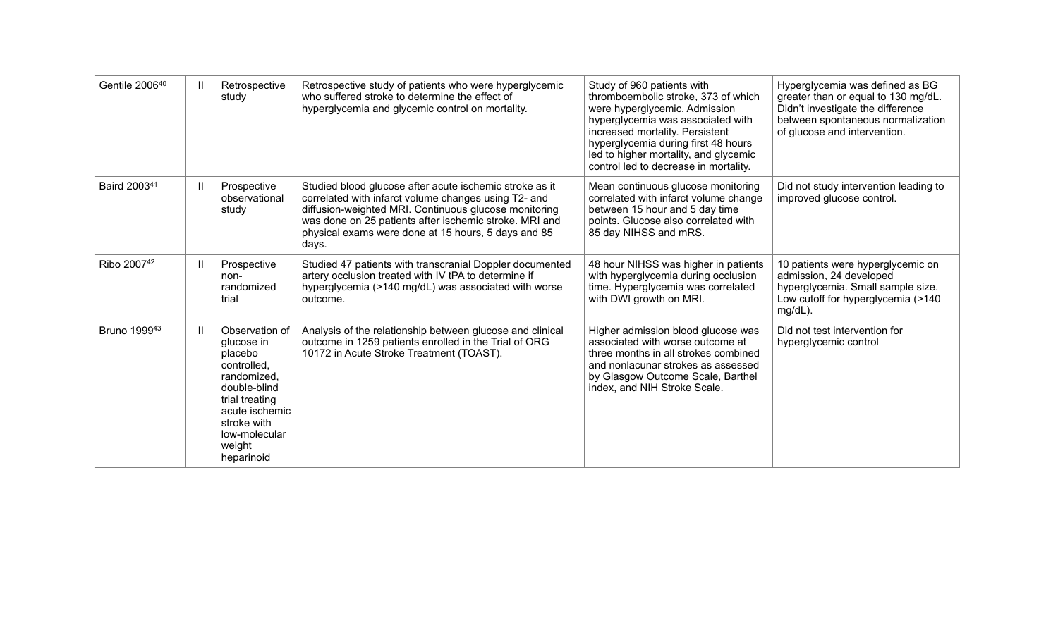| Gentile 200640           | Ш            | Retrospective<br>study                                                                                                                                                            | Retrospective study of patients who were hyperglycemic<br>who suffered stroke to determine the effect of<br>hyperglycemia and glycemic control on mortality.                                                                                                                                       | Study of 960 patients with<br>thromboembolic stroke, 373 of which<br>were hyperglycemic. Admission<br>hyperglycemia was associated with<br>increased mortality. Persistent<br>hyperglycemia during first 48 hours<br>led to higher mortality, and glycemic<br>control led to decrease in mortality. | Hyperglycemia was defined as BG<br>greater than or equal to 130 mg/dL.<br>Didn't investigate the difference<br>between spontaneous normalization<br>of glucose and intervention. |
|--------------------------|--------------|-----------------------------------------------------------------------------------------------------------------------------------------------------------------------------------|----------------------------------------------------------------------------------------------------------------------------------------------------------------------------------------------------------------------------------------------------------------------------------------------------|-----------------------------------------------------------------------------------------------------------------------------------------------------------------------------------------------------------------------------------------------------------------------------------------------------|----------------------------------------------------------------------------------------------------------------------------------------------------------------------------------|
| Baird 2003 <sup>41</sup> | $\mathbf{I}$ | Prospective<br>observational<br>study                                                                                                                                             | Studied blood glucose after acute ischemic stroke as it<br>correlated with infarct volume changes using T2- and<br>diffusion-weighted MRI. Continuous glucose monitoring<br>was done on 25 patients after ischemic stroke. MRI and<br>physical exams were done at 15 hours, 5 days and 85<br>days. | Mean continuous glucose monitoring<br>correlated with infarct volume change<br>between 15 hour and 5 day time<br>points. Glucose also correlated with<br>85 day NIHSS and mRS.                                                                                                                      | Did not study intervention leading to<br>improved glucose control.                                                                                                               |
| Ribo 200742              | Ш            | Prospective<br>non-<br>randomized<br>trial                                                                                                                                        | Studied 47 patients with transcranial Doppler documented<br>artery occlusion treated with IV tPA to determine if<br>hyperglycemia (>140 mg/dL) was associated with worse<br>outcome.                                                                                                               | 48 hour NIHSS was higher in patients<br>with hyperglycemia during occlusion<br>time. Hyperglycemia was correlated<br>with DWI growth on MRI.                                                                                                                                                        | 10 patients were hyperglycemic on<br>admission, 24 developed<br>hyperglycemia. Small sample size.<br>Low cutoff for hyperglycemia (>140<br>mg/dL).                               |
| Bruno 199943             | $\mathbf{I}$ | Observation of<br>glucose in<br>placebo<br>controlled.<br>randomized,<br>double-blind<br>trial treating<br>acute ischemic<br>stroke with<br>low-molecular<br>weight<br>heparinoid | Analysis of the relationship between glucose and clinical<br>outcome in 1259 patients enrolled in the Trial of ORG<br>10172 in Acute Stroke Treatment (TOAST).                                                                                                                                     | Higher admission blood glucose was<br>associated with worse outcome at<br>three months in all strokes combined<br>and nonlacunar strokes as assessed<br>by Glasgow Outcome Scale, Barthel<br>index, and NIH Stroke Scale.                                                                           | Did not test intervention for<br>hyperglycemic control                                                                                                                           |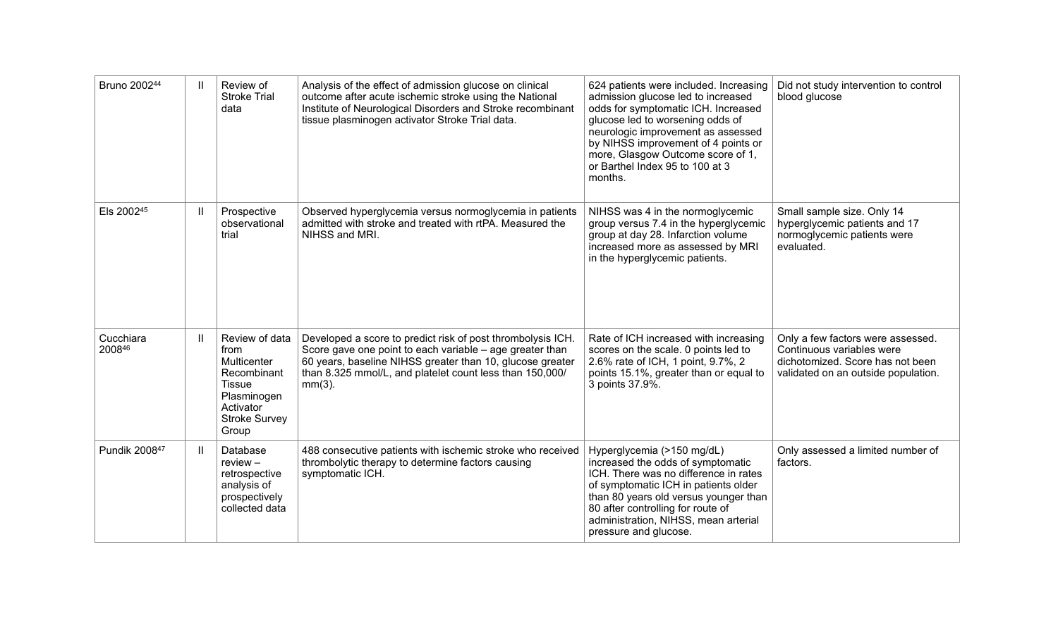| Bruno 200244        | $\mathbf{H}$ | Review of<br><b>Stroke Trial</b><br>data                                                                                           | Analysis of the effect of admission glucose on clinical<br>outcome after acute ischemic stroke using the National<br>Institute of Neurological Disorders and Stroke recombinant<br>tissue plasminogen activator Stroke Trial data.                            | 624 patients were included. Increasing<br>admission glucose led to increased<br>odds for symptomatic ICH. Increased<br>glucose led to worsening odds of<br>neurologic improvement as assessed<br>by NIHSS improvement of 4 points or<br>more, Glasgow Outcome score of 1,<br>or Barthel Index 95 to 100 at 3<br>months. | Did not study intervention to control<br>blood glucose                                                                                    |
|---------------------|--------------|------------------------------------------------------------------------------------------------------------------------------------|---------------------------------------------------------------------------------------------------------------------------------------------------------------------------------------------------------------------------------------------------------------|-------------------------------------------------------------------------------------------------------------------------------------------------------------------------------------------------------------------------------------------------------------------------------------------------------------------------|-------------------------------------------------------------------------------------------------------------------------------------------|
| Els 200245          | Ш            | Prospective<br>observational<br>trial                                                                                              | Observed hyperglycemia versus normoglycemia in patients<br>admitted with stroke and treated with rtPA. Measured the<br>NIHSS and MRI.                                                                                                                         | NIHSS was 4 in the normoglycemic<br>group versus 7.4 in the hyperglycemic<br>group at day 28. Infarction volume<br>increased more as assessed by MRI<br>in the hyperglycemic patients.                                                                                                                                  | Small sample size. Only 14<br>hyperglycemic patients and 17<br>normoglycemic patients were<br>evaluated.                                  |
| Cucchiara<br>200846 | $\mathbf{H}$ | Review of data<br>from<br>Multicenter<br>Recombinant<br><b>Tissue</b><br>Plasminogen<br>Activator<br><b>Stroke Survey</b><br>Group | Developed a score to predict risk of post thrombolysis ICH.<br>Score gave one point to each variable – age greater than<br>60 years, baseline NIHSS greater than 10, glucose greater<br>than 8.325 mmol/L, and platelet count less than 150,000/<br>$mm(3)$ . | Rate of ICH increased with increasing<br>scores on the scale. 0 points led to<br>2.6% rate of ICH, 1 point, 9.7%, 2<br>points 15.1%, greater than or equal to<br>3 points 37.9%.                                                                                                                                        | Only a few factors were assessed.<br>Continuous variables were<br>dichotomized. Score has not been<br>validated on an outside population. |
| Pundik 200847       | $\mathbf{H}$ | Database<br>$review -$<br>retrospective<br>analysis of<br>prospectively<br>collected data                                          | 488 consecutive patients with ischemic stroke who received<br>thrombolytic therapy to determine factors causing<br>symptomatic ICH.                                                                                                                           | Hyperglycemia (>150 mg/dL)<br>increased the odds of symptomatic<br>ICH. There was no difference in rates<br>of symptomatic ICH in patients older<br>than 80 years old versus younger than<br>80 after controlling for route of<br>administration, NIHSS, mean arterial<br>pressure and glucose.                         | Only assessed a limited number of<br>factors.                                                                                             |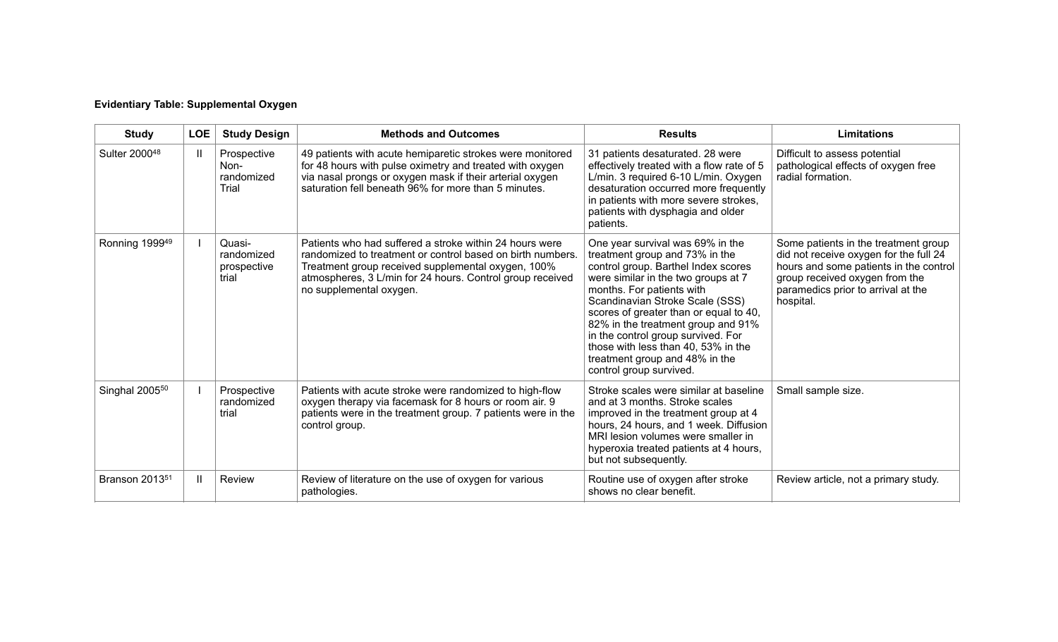| <b>Evidentiary Table: Supplemental Oxygen</b> |  |
|-----------------------------------------------|--|
|-----------------------------------------------|--|

| <b>Study</b>               | <b>LOE</b>   | <b>Study Design</b>                          | <b>Methods and Outcomes</b>                                                                                                                                                                                                                                         | <b>Results</b>                                                                                                                                                                                                                                                                                                                                                                                                                             | Limitations                                                                                                                                                                                                   |
|----------------------------|--------------|----------------------------------------------|---------------------------------------------------------------------------------------------------------------------------------------------------------------------------------------------------------------------------------------------------------------------|--------------------------------------------------------------------------------------------------------------------------------------------------------------------------------------------------------------------------------------------------------------------------------------------------------------------------------------------------------------------------------------------------------------------------------------------|---------------------------------------------------------------------------------------------------------------------------------------------------------------------------------------------------------------|
| Sulter 200048              | Ш            | Prospective<br>Non-<br>randomized<br>Trial   | 49 patients with acute hemiparetic strokes were monitored<br>for 48 hours with pulse oximetry and treated with oxygen<br>via nasal prongs or oxygen mask if their arterial oxygen<br>saturation fell beneath 96% for more than 5 minutes.                           | 31 patients desaturated. 28 were<br>effectively treated with a flow rate of 5<br>L/min. 3 required 6-10 L/min. Oxygen<br>desaturation occurred more frequently<br>in patients with more severe strokes,<br>patients with dysphagia and older<br>patients.                                                                                                                                                                                  | Difficult to assess potential<br>pathological effects of oxygen free<br>radial formation.                                                                                                                     |
| Ronning 199949             |              | Quasi-<br>randomized<br>prospective<br>trial | Patients who had suffered a stroke within 24 hours were<br>randomized to treatment or control based on birth numbers.<br>Treatment group received supplemental oxygen, 100%<br>atmospheres, 3 L/min for 24 hours. Control group received<br>no supplemental oxygen. | One year survival was 69% in the<br>treatment group and 73% in the<br>control group. Barthel Index scores<br>were similar in the two groups at 7<br>months. For patients with<br>Scandinavian Stroke Scale (SSS)<br>scores of greater than or equal to 40,<br>82% in the treatment group and 91%<br>in the control group survived. For<br>those with less than 40, 53% in the<br>treatment group and 48% in the<br>control group survived. | Some patients in the treatment group<br>did not receive oxygen for the full 24<br>hours and some patients in the control<br>group received oxygen from the<br>paramedics prior to arrival at the<br>hospital. |
| Singhal 2005 <sup>50</sup> |              | Prospective<br>randomized<br>trial           | Patients with acute stroke were randomized to high-flow<br>oxygen therapy via facemask for 8 hours or room air. 9<br>patients were in the treatment group. 7 patients were in the<br>control group.                                                                 | Stroke scales were similar at baseline<br>and at 3 months. Stroke scales<br>improved in the treatment group at 4<br>hours, 24 hours, and 1 week. Diffusion<br>MRI lesion volumes were smaller in<br>hyperoxia treated patients at 4 hours,<br>but not subsequently.                                                                                                                                                                        | Small sample size.                                                                                                                                                                                            |
| Branson 2013 <sup>51</sup> | $\mathbf{H}$ | <b>Review</b>                                | Review of literature on the use of oxygen for various<br>pathologies.                                                                                                                                                                                               | Routine use of oxygen after stroke<br>shows no clear benefit.                                                                                                                                                                                                                                                                                                                                                                              | Review article, not a primary study.                                                                                                                                                                          |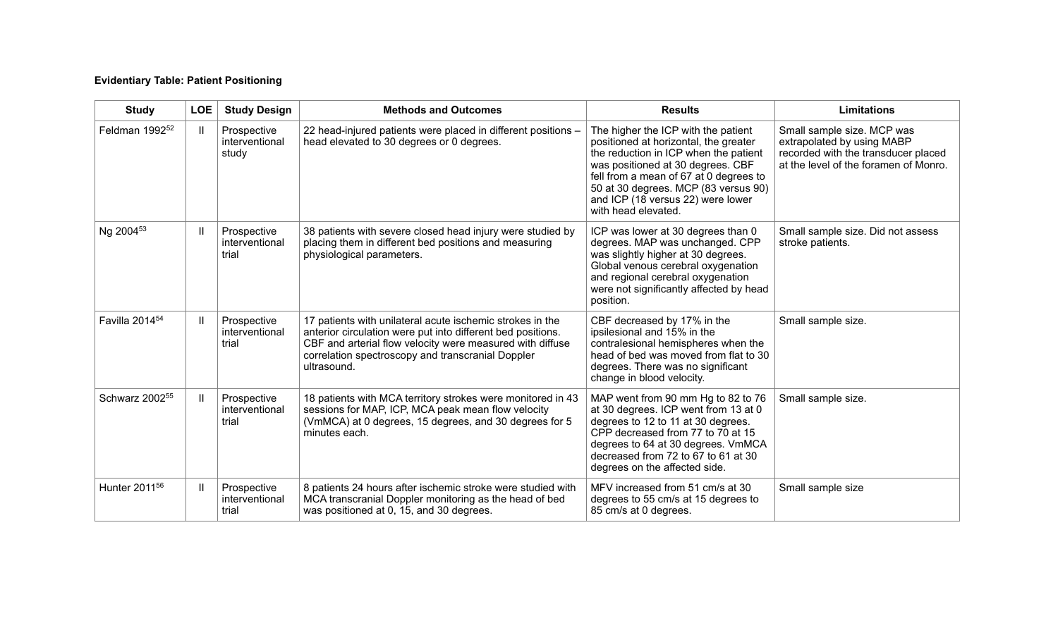# **Evidentiary Table: Patient Positioning**

| <b>Study</b>               | <b>LOE</b>   | <b>Study Design</b>                    | <b>Methods and Outcomes</b>                                                                                                                                                                                                                               | <b>Results</b>                                                                                                                                                                                                                                                                                           | <b>Limitations</b>                                                                                                                       |
|----------------------------|--------------|----------------------------------------|-----------------------------------------------------------------------------------------------------------------------------------------------------------------------------------------------------------------------------------------------------------|----------------------------------------------------------------------------------------------------------------------------------------------------------------------------------------------------------------------------------------------------------------------------------------------------------|------------------------------------------------------------------------------------------------------------------------------------------|
| Feldman 1992 <sup>52</sup> | H            | Prospective<br>interventional<br>study | 22 head-injured patients were placed in different positions -<br>head elevated to 30 degrees or 0 degrees.                                                                                                                                                | The higher the ICP with the patient<br>positioned at horizontal, the greater<br>the reduction in ICP when the patient<br>was positioned at 30 degrees. CBF<br>fell from a mean of 67 at 0 degrees to<br>50 at 30 degrees. MCP (83 versus 90)<br>and ICP (18 versus 22) were lower<br>with head elevated. | Small sample size. MCP was<br>extrapolated by using MABP<br>recorded with the transducer placed<br>at the level of the foramen of Monro. |
| Ng 2004 <sup>53</sup>      | $\mathbf{I}$ | Prospective<br>interventional<br>trial | 38 patients with severe closed head injury were studied by<br>placing them in different bed positions and measuring<br>physiological parameters.                                                                                                          | ICP was lower at 30 degrees than 0<br>degrees. MAP was unchanged. CPP<br>was slightly higher at 30 degrees.<br>Global venous cerebral oxygenation<br>and regional cerebral oxygenation<br>were not significantly affected by head<br>position.                                                           | Small sample size. Did not assess<br>stroke patients.                                                                                    |
| Favilla 2014 <sup>54</sup> | H            | Prospective<br>interventional<br>trial | 17 patients with unilateral acute ischemic strokes in the<br>anterior circulation were put into different bed positions.<br>CBF and arterial flow velocity were measured with diffuse<br>correlation spectroscopy and transcranial Doppler<br>ultrasound. | CBF decreased by 17% in the<br>ipsilesional and 15% in the<br>contralesional hemispheres when the<br>head of bed was moved from flat to 30<br>degrees. There was no significant<br>change in blood velocity.                                                                                             | Small sample size.                                                                                                                       |
| Schwarz 2002 <sup>55</sup> | H            | Prospective<br>interventional<br>trial | 18 patients with MCA territory strokes were monitored in 43<br>sessions for MAP, ICP, MCA peak mean flow velocity<br>(VmMCA) at 0 degrees, 15 degrees, and 30 degrees for 5<br>minutes each.                                                              | MAP went from 90 mm Hg to 82 to 76<br>at 30 degrees. ICP went from 13 at 0<br>degrees to 12 to 11 at 30 degrees.<br>CPP decreased from 77 to 70 at 15<br>degrees to 64 at 30 degrees. VmMCA<br>decreased from 72 to 67 to 61 at 30<br>degrees on the affected side.                                      | Small sample size.                                                                                                                       |
| Hunter 2011 <sup>56</sup>  | Ш            | Prospective<br>interventional<br>trial | 8 patients 24 hours after ischemic stroke were studied with<br>MCA transcranial Doppler monitoring as the head of bed<br>was positioned at 0, 15, and 30 degrees.                                                                                         | MFV increased from 51 cm/s at 30<br>degrees to 55 cm/s at 15 degrees to<br>85 cm/s at 0 degrees.                                                                                                                                                                                                         | Small sample size                                                                                                                        |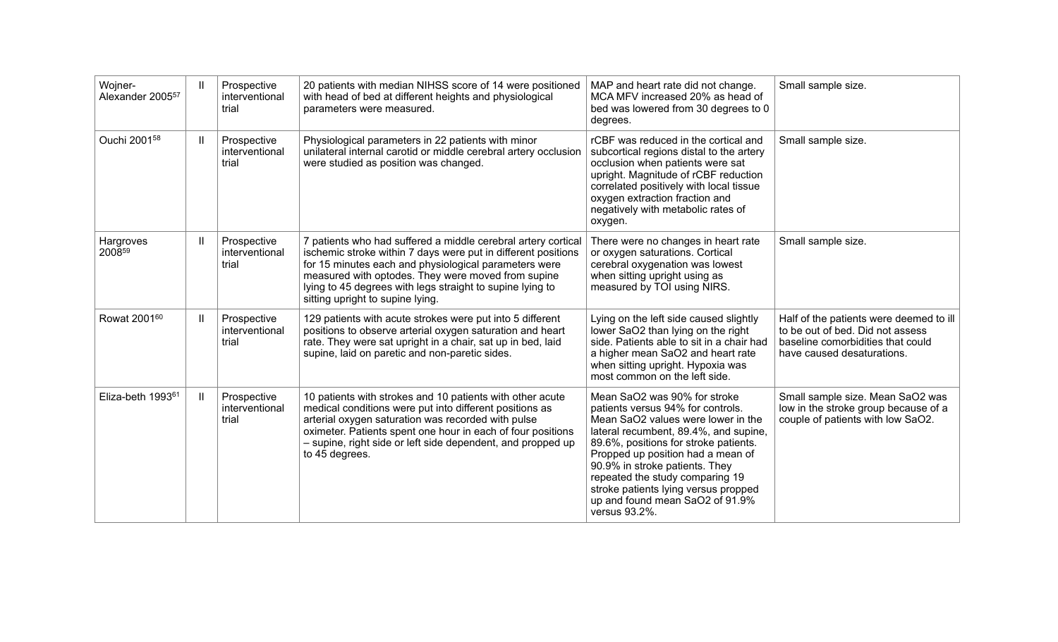| Wojner-<br>Alexander 2005 <sup>57</sup> | $\mathbf{H}$ | Prospective<br>interventional<br>trial | 20 patients with median NIHSS score of 14 were positioned<br>with head of bed at different heights and physiological<br>parameters were measured.                                                                                                                                                                                              | MAP and heart rate did not change.<br>MCA MFV increased 20% as head of<br>bed was lowered from 30 degrees to 0<br>degrees.                                                                                                                                                                                                                                                                      | Small sample size.                                                                                                                             |
|-----------------------------------------|--------------|----------------------------------------|------------------------------------------------------------------------------------------------------------------------------------------------------------------------------------------------------------------------------------------------------------------------------------------------------------------------------------------------|-------------------------------------------------------------------------------------------------------------------------------------------------------------------------------------------------------------------------------------------------------------------------------------------------------------------------------------------------------------------------------------------------|------------------------------------------------------------------------------------------------------------------------------------------------|
| Ouchi 2001 <sup>58</sup>                | H            | Prospective<br>interventional<br>trial | Physiological parameters in 22 patients with minor<br>unilateral internal carotid or middle cerebral artery occlusion<br>were studied as position was changed.                                                                                                                                                                                 | rCBF was reduced in the cortical and<br>subcortical regions distal to the artery<br>occlusion when patients were sat<br>upright. Magnitude of rCBF reduction<br>correlated positively with local tissue<br>oxygen extraction fraction and<br>negatively with metabolic rates of<br>oxygen.                                                                                                      | Small sample size.                                                                                                                             |
| Hargroves<br>200859                     | H            | Prospective<br>interventional<br>trial | 7 patients who had suffered a middle cerebral artery cortical<br>ischemic stroke within 7 days were put in different positions<br>for 15 minutes each and physiological parameters were<br>measured with optodes. They were moved from supine<br>lying to 45 degrees with legs straight to supine lying to<br>sitting upright to supine lying. | There were no changes in heart rate<br>or oxygen saturations. Cortical<br>cerebral oxygenation was lowest<br>when sitting upright using as<br>measured by TOI using NIRS.                                                                                                                                                                                                                       | Small sample size.                                                                                                                             |
| Rowat 2001 <sup>60</sup>                | H            | Prospective<br>interventional<br>trial | 129 patients with acute strokes were put into 5 different<br>positions to observe arterial oxygen saturation and heart<br>rate. They were sat upright in a chair, sat up in bed, laid<br>supine, laid on paretic and non-paretic sides.                                                                                                        | Lying on the left side caused slightly<br>lower SaO2 than lying on the right<br>side. Patients able to sit in a chair had<br>a higher mean SaO2 and heart rate<br>when sitting upright. Hypoxia was<br>most common on the left side.                                                                                                                                                            | Half of the patients were deemed to ill<br>to be out of bed. Did not assess<br>baseline comorbidities that could<br>have caused desaturations. |
| Eliza-beth 199361                       | H            | Prospective<br>interventional<br>trial | 10 patients with strokes and 10 patients with other acute<br>medical conditions were put into different positions as<br>arterial oxygen saturation was recorded with pulse<br>oximeter. Patients spent one hour in each of four positions<br>- supine, right side or left side dependent, and propped up<br>to 45 degrees.                     | Mean SaO2 was 90% for stroke<br>patients versus 94% for controls.<br>Mean SaO2 values were lower in the<br>lateral recumbent, 89.4%, and supine,<br>89.6%, positions for stroke patients.<br>Propped up position had a mean of<br>90.9% in stroke patients. They<br>repeated the study comparing 19<br>stroke patients lying versus propped<br>up and found mean SaO2 of 91.9%<br>versus 93.2%. | Small sample size. Mean SaO2 was<br>low in the stroke group because of a<br>couple of patients with low SaO2.                                  |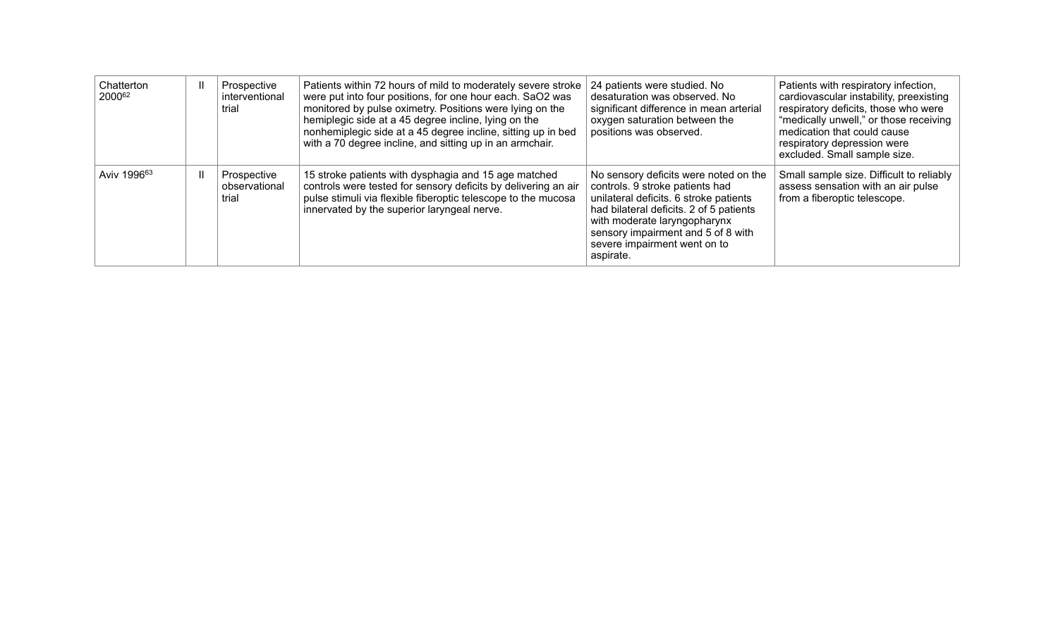| Chatterton<br>200062    |  | Prospective<br>interventional<br>trial | Patients within 72 hours of mild to moderately severe stroke<br>were put into four positions, for one hour each. SaO2 was<br>monitored by pulse oximetry. Positions were lying on the<br>hemiplegic side at a 45 degree incline, lying on the<br>nonhemiplegic side at a 45 degree incline, sitting up in bed<br>with a 70 degree incline, and sitting up in an armchair. | 24 patients were studied. No<br>desaturation was observed. No<br>significant difference in mean arterial<br>oxygen saturation between the<br>positions was observed.                                                                                                             | Patients with respiratory infection,<br>cardiovascular instability, preexisting<br>respiratory deficits, those who were<br>"medically unwell," or those receiving<br>medication that could cause<br>respiratory depression were<br>excluded. Small sample size. |
|-------------------------|--|----------------------------------------|---------------------------------------------------------------------------------------------------------------------------------------------------------------------------------------------------------------------------------------------------------------------------------------------------------------------------------------------------------------------------|----------------------------------------------------------------------------------------------------------------------------------------------------------------------------------------------------------------------------------------------------------------------------------|-----------------------------------------------------------------------------------------------------------------------------------------------------------------------------------------------------------------------------------------------------------------|
| Aviv 1996 <sup>63</sup> |  | Prospective<br>observational<br>trial  | 15 stroke patients with dysphagia and 15 age matched<br>controls were tested for sensory deficits by delivering an air<br>pulse stimuli via flexible fiberoptic telescope to the mucosa<br>innervated by the superior laryngeal nerve.                                                                                                                                    | No sensory deficits were noted on the<br>controls. 9 stroke patients had<br>unilateral deficits. 6 stroke patients<br>had bilateral deficits. 2 of 5 patients<br>with moderate laryngopharynx<br>sensory impairment and 5 of 8 with<br>severe impairment went on to<br>aspirate. | Small sample size. Difficult to reliably<br>assess sensation with an air pulse<br>from a fiberoptic telescope.                                                                                                                                                  |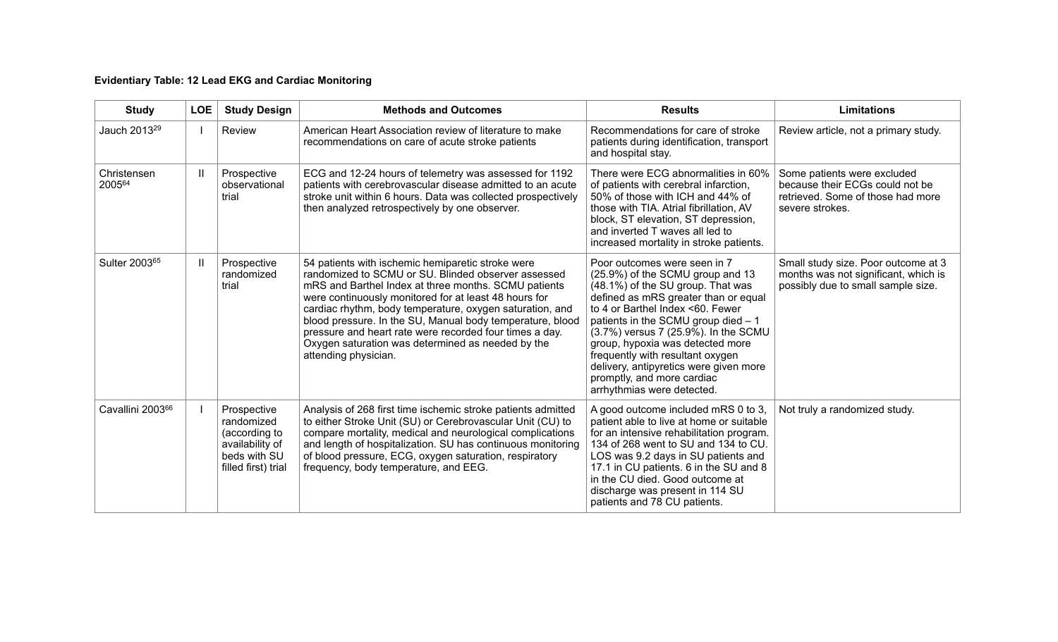# **Evidentiary Table: 12 Lead EKG and Cardiac Monitoring**

| <b>Study</b>             | <b>LOE</b> | <b>Study Design</b>                                                                                  | <b>Methods and Outcomes</b>                                                                                                                                                                                                                                                                                                                                                                                                                                                                | <b>Results</b>                                                                                                                                                                                                                                                                                                                                                                                                                                 | <b>Limitations</b>                                                                                                     |
|--------------------------|------------|------------------------------------------------------------------------------------------------------|--------------------------------------------------------------------------------------------------------------------------------------------------------------------------------------------------------------------------------------------------------------------------------------------------------------------------------------------------------------------------------------------------------------------------------------------------------------------------------------------|------------------------------------------------------------------------------------------------------------------------------------------------------------------------------------------------------------------------------------------------------------------------------------------------------------------------------------------------------------------------------------------------------------------------------------------------|------------------------------------------------------------------------------------------------------------------------|
| Jauch 2013 <sup>29</sup> |            | Review                                                                                               | American Heart Association review of literature to make<br>recommendations on care of acute stroke patients                                                                                                                                                                                                                                                                                                                                                                                | Recommendations for care of stroke<br>patients during identification, transport<br>and hospital stay.                                                                                                                                                                                                                                                                                                                                          | Review article, not a primary study.                                                                                   |
| Christensen<br>200564    | H          | Prospective<br>observational<br>trial                                                                | ECG and 12-24 hours of telemetry was assessed for 1192<br>patients with cerebrovascular disease admitted to an acute<br>stroke unit within 6 hours. Data was collected prospectively<br>then analyzed retrospectively by one observer.                                                                                                                                                                                                                                                     | There were ECG abnormalities in 60%<br>of patients with cerebral infarction,<br>50% of those with ICH and 44% of<br>those with TIA. Atrial fibrillation, AV<br>block, ST elevation, ST depression,<br>and inverted T waves all led to<br>increased mortality in stroke patients.                                                                                                                                                               | Some patients were excluded<br>because their ECGs could not be<br>retrieved. Some of those had more<br>severe strokes. |
| Sulter 200365            |            | Prospective<br>randomized<br>trial                                                                   | 54 patients with ischemic hemiparetic stroke were<br>randomized to SCMU or SU. Blinded observer assessed<br>mRS and Barthel Index at three months. SCMU patients<br>were continuously monitored for at least 48 hours for<br>cardiac rhythm, body temperature, oxygen saturation, and<br>blood pressure. In the SU, Manual body temperature, blood<br>pressure and heart rate were recorded four times a day.<br>Oxygen saturation was determined as needed by the<br>attending physician. | Poor outcomes were seen in 7<br>(25.9%) of the SCMU group and 13<br>(48.1%) of the SU group. That was<br>defined as mRS greater than or equal<br>to 4 or Barthel Index <60. Fewer<br>patients in the SCMU group died - 1<br>(3.7%) versus 7 (25.9%). In the SCMU<br>group, hypoxia was detected more<br>frequently with resultant oxygen<br>delivery, antipyretics were given more<br>promptly, and more cardiac<br>arrhythmias were detected. | Small study size. Poor outcome at 3<br>months was not significant, which is<br>possibly due to small sample size.      |
| Cavallini 200366         |            | Prospective<br>randomized<br>(according to<br>availability of<br>beds with SU<br>filled first) trial | Analysis of 268 first time ischemic stroke patients admitted<br>to either Stroke Unit (SU) or Cerebrovascular Unit (CU) to<br>compare mortality, medical and neurological complications<br>and length of hospitalization. SU has continuous monitoring<br>of blood pressure, ECG, oxygen saturation, respiratory<br>frequency, body temperature, and EEG.                                                                                                                                  | A good outcome included mRS 0 to 3,<br>patient able to live at home or suitable<br>for an intensive rehabilitation program.<br>134 of 268 went to SU and 134 to CU.<br>LOS was 9.2 days in SU patients and<br>17.1 in CU patients. 6 in the SU and 8<br>in the CU died. Good outcome at<br>discharge was present in 114 SU<br>patients and 78 CU patients.                                                                                     | Not truly a randomized study.                                                                                          |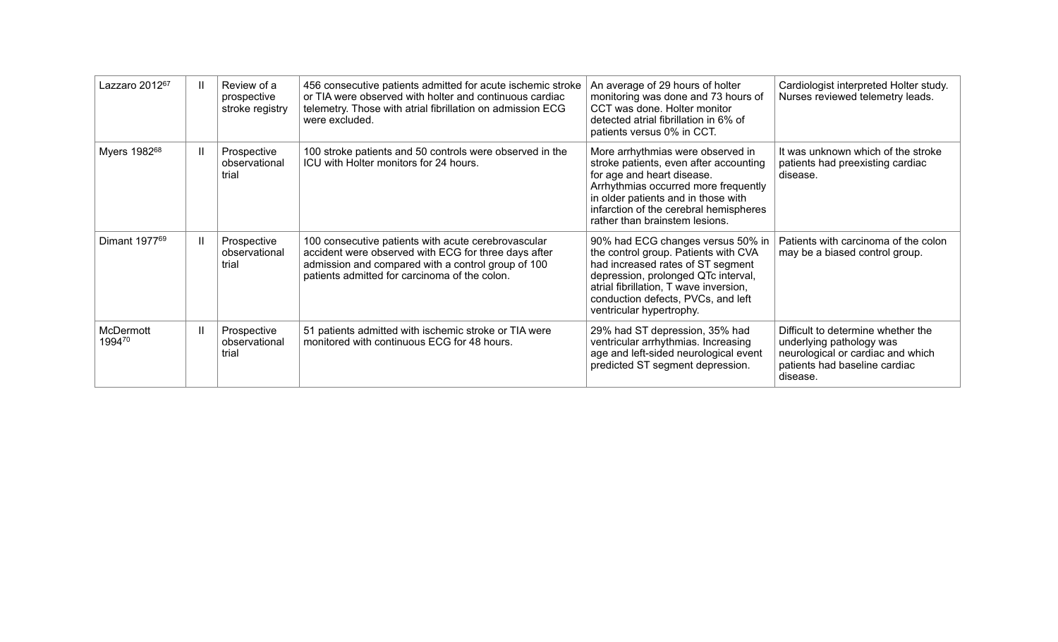| Lazzaro 2012 <sup>67</sup> |   | Review of a<br>prospective<br>stroke registry | 456 consecutive patients admitted for acute ischemic stroke<br>or TIA were observed with holter and continuous cardiac<br>telemetry. Those with atrial fibrillation on admission ECG<br>were excluded.             | An average of 29 hours of holter<br>monitoring was done and 73 hours of<br>CCT was done. Holter monitor<br>detected atrial fibrillation in 6% of<br>patients versus 0% in CCT.                                                                                       | Cardiologist interpreted Holter study.<br>Nurses reviewed telemetry leads.                                                                       |
|----------------------------|---|-----------------------------------------------|--------------------------------------------------------------------------------------------------------------------------------------------------------------------------------------------------------------------|----------------------------------------------------------------------------------------------------------------------------------------------------------------------------------------------------------------------------------------------------------------------|--------------------------------------------------------------------------------------------------------------------------------------------------|
| Myers 1982 <sup>68</sup>   |   | Prospective<br>observational<br>trial         | 100 stroke patients and 50 controls were observed in the<br>ICU with Holter monitors for 24 hours.                                                                                                                 | More arrhythmias were observed in<br>stroke patients, even after accounting<br>for age and heart disease.<br>Arrhythmias occurred more frequently<br>in older patients and in those with<br>infarction of the cerebral hemispheres<br>rather than brainstem lesions. | It was unknown which of the stroke<br>patients had preexisting cardiac<br>disease.                                                               |
| Dimant 1977 <sup>69</sup>  | Ш | Prospective<br>observational<br>trial         | 100 consecutive patients with acute cerebrovascular<br>accident were observed with ECG for three days after<br>admission and compared with a control group of 100<br>patients admitted for carcinoma of the colon. | 90% had ECG changes versus 50% in<br>the control group. Patients with CVA<br>had increased rates of ST segment<br>depression, prolonged QTc interval,<br>atrial fibrillation, T wave inversion,<br>conduction defects, PVCs, and left<br>ventricular hypertrophy.    | Patients with carcinoma of the colon<br>may be a biased control group.                                                                           |
| <b>McDermott</b><br>199470 |   | Prospective<br>observational<br>trial         | 51 patients admitted with ischemic stroke or TIA were<br>monitored with continuous ECG for 48 hours.                                                                                                               | 29% had ST depression, 35% had<br>ventricular arrhythmias. Increasing<br>age and left-sided neurological event<br>predicted ST segment depression.                                                                                                                   | Difficult to determine whether the<br>underlying pathology was<br>neurological or cardiac and which<br>patients had baseline cardiac<br>disease. |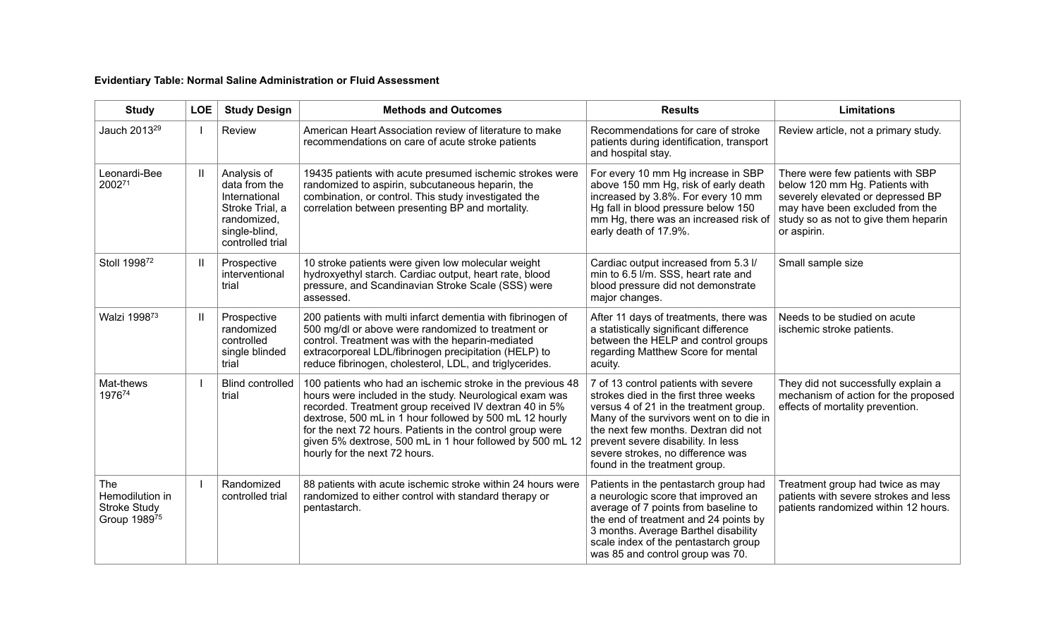# **Evidentiary Table: Normal Saline Administration or Fluid Assessment**

| <b>Study</b>                                                  | <b>LOE</b>   | <b>Study Design</b>                                                                                                  | <b>Methods and Outcomes</b>                                                                                                                                                                                                                                                                                                                                                                           | <b>Results</b>                                                                                                                                                                                                                                                                                                         | <b>Limitations</b>                                                                                                                                                                                |
|---------------------------------------------------------------|--------------|----------------------------------------------------------------------------------------------------------------------|-------------------------------------------------------------------------------------------------------------------------------------------------------------------------------------------------------------------------------------------------------------------------------------------------------------------------------------------------------------------------------------------------------|------------------------------------------------------------------------------------------------------------------------------------------------------------------------------------------------------------------------------------------------------------------------------------------------------------------------|---------------------------------------------------------------------------------------------------------------------------------------------------------------------------------------------------|
| Jauch 2013 <sup>29</sup>                                      |              | Review                                                                                                               | American Heart Association review of literature to make<br>recommendations on care of acute stroke patients                                                                                                                                                                                                                                                                                           | Recommendations for care of stroke<br>patients during identification, transport<br>and hospital stay.                                                                                                                                                                                                                  | Review article, not a primary study.                                                                                                                                                              |
| Leonardi-Bee<br>200271                                        | H.           | Analysis of<br>data from the<br>International<br>Stroke Trial, a<br>randomized,<br>single-blind,<br>controlled trial | 19435 patients with acute presumed ischemic strokes were<br>randomized to aspirin, subcutaneous heparin, the<br>combination, or control. This study investigated the<br>correlation between presenting BP and mortality.                                                                                                                                                                              | For every 10 mm Hg increase in SBP<br>above 150 mm Hg, risk of early death<br>increased by 3.8%. For every 10 mm<br>Hg fall in blood pressure below 150<br>mm Hg, there was an increased risk of<br>early death of 17.9%.                                                                                              | There were few patients with SBP<br>below 120 mm Hg. Patients with<br>severely elevated or depressed BP<br>may have been excluded from the<br>study so as not to give them heparin<br>or aspirin. |
| Stoll 1998 <sup>72</sup>                                      | H.           | Prospective<br>interventional<br>trial                                                                               | 10 stroke patients were given low molecular weight<br>hydroxyethyl starch. Cardiac output, heart rate, blood<br>pressure, and Scandinavian Stroke Scale (SSS) were<br>assessed.                                                                                                                                                                                                                       | Cardiac output increased from 5.3 I/<br>min to 6.5 l/m. SSS, heart rate and<br>blood pressure did not demonstrate<br>major changes.                                                                                                                                                                                    | Small sample size                                                                                                                                                                                 |
| Walzi 1998 <sup>73</sup>                                      | $\mathbf{H}$ | Prospective<br>randomized<br>controlled<br>single blinded<br>trial                                                   | 200 patients with multi infarct dementia with fibrinogen of<br>500 mg/dl or above were randomized to treatment or<br>control. Treatment was with the heparin-mediated<br>extracorporeal LDL/fibrinogen precipitation (HELP) to<br>reduce fibrinogen, cholesterol, LDL, and triglycerides.                                                                                                             | After 11 days of treatments, there was<br>a statistically significant difference<br>between the HELP and control groups<br>regarding Matthew Score for mental<br>acuity.                                                                                                                                               | Needs to be studied on acute<br>ischemic stroke patients.                                                                                                                                         |
| Mat-thews<br>197674                                           |              | <b>Blind controlled</b><br>trial                                                                                     | 100 patients who had an ischemic stroke in the previous 48<br>hours were included in the study. Neurological exam was<br>recorded. Treatment group received IV dextran 40 in 5%<br>dextrose, 500 mL in 1 hour followed by 500 mL 12 hourly<br>for the next 72 hours. Patients in the control group were<br>given 5% dextrose, 500 mL in 1 hour followed by 500 mL 12<br>hourly for the next 72 hours. | 7 of 13 control patients with severe<br>strokes died in the first three weeks<br>versus 4 of 21 in the treatment group.<br>Many of the survivors went on to die in<br>the next few months. Dextran did not<br>prevent severe disability. In less<br>severe strokes, no difference was<br>found in the treatment group. | They did not successfully explain a<br>mechanism of action for the proposed<br>effects of mortality prevention.                                                                                   |
| The<br>Hemodilution in<br><b>Stroke Study</b><br>Group 198975 |              | Randomized<br>controlled trial                                                                                       | 88 patients with acute ischemic stroke within 24 hours were<br>randomized to either control with standard therapy or<br>pentastarch.                                                                                                                                                                                                                                                                  | Patients in the pentastarch group had<br>a neurologic score that improved an<br>average of 7 points from baseline to<br>the end of treatment and 24 points by<br>3 months. Average Barthel disability<br>scale index of the pentastarch group<br>was 85 and control group was 70.                                      | Treatment group had twice as may<br>patients with severe strokes and less<br>patients randomized within 12 hours.                                                                                 |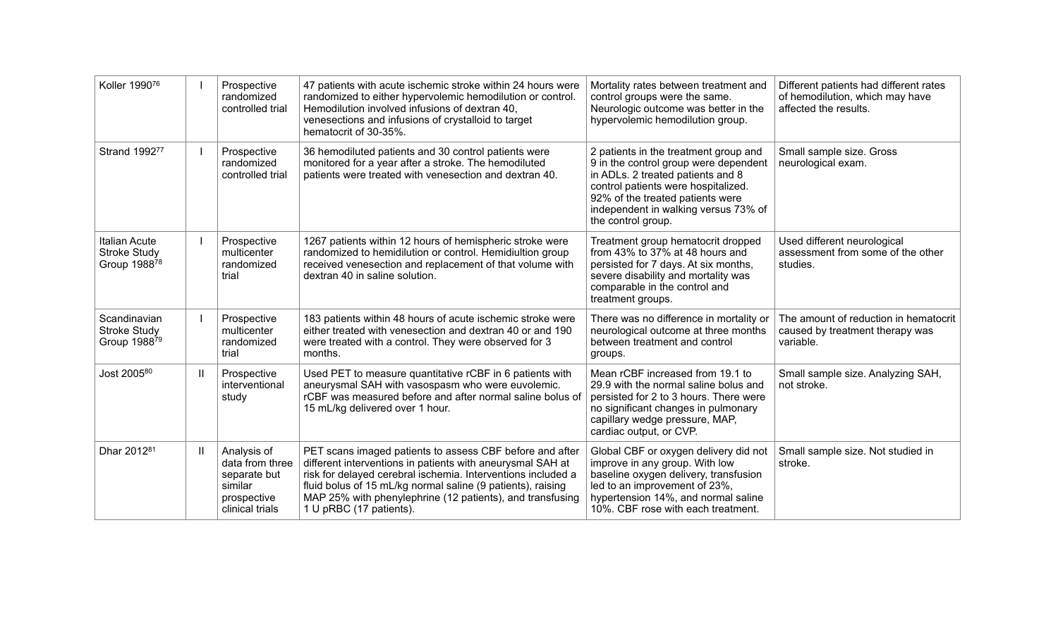| Koller 199076                                               |              | Prospective<br>randomized<br>controlled trial                                               | 47 patients with acute ischemic stroke within 24 hours were<br>randomized to either hypervolemic hemodilution or control.<br>Hemodilution involved infusions of dextran 40.<br>venesections and infusions of crystalloid to target<br>hematocrit of 30-35%.                                                                                   | Mortality rates between treatment and<br>control groups were the same.<br>Neurologic outcome was better in the<br>hypervolemic hemodilution group.                                                                                                           | Different patients had different rates<br>of hemodilution, which may have<br>affected the results. |
|-------------------------------------------------------------|--------------|---------------------------------------------------------------------------------------------|-----------------------------------------------------------------------------------------------------------------------------------------------------------------------------------------------------------------------------------------------------------------------------------------------------------------------------------------------|--------------------------------------------------------------------------------------------------------------------------------------------------------------------------------------------------------------------------------------------------------------|----------------------------------------------------------------------------------------------------|
| Strand 199277                                               |              | Prospective<br>randomized<br>controlled trial                                               | 36 hemodiluted patients and 30 control patients were<br>monitored for a year after a stroke. The hemodiluted<br>patients were treated with venesection and dextran 40.                                                                                                                                                                        | 2 patients in the treatment group and<br>9 in the control group were dependent<br>in ADLs. 2 treated patients and 8<br>control patients were hospitalized.<br>92% of the treated patients were<br>independent in walking versus 73% of<br>the control group. | Small sample size. Gross<br>neurological exam.                                                     |
| <b>Italian Acute</b><br><b>Stroke Study</b><br>Group 198878 |              | Prospective<br>multicenter<br>randomized<br>trial                                           | 1267 patients within 12 hours of hemispheric stroke were<br>randomized to hemidilution or control. Hemidiultion group<br>received venesection and replacement of that volume with<br>dextran 40 in saline solution.                                                                                                                           | Treatment group hematocrit dropped<br>from 43% to 37% at 48 hours and<br>persisted for 7 days. At six months,<br>severe disability and mortality was<br>comparable in the control and<br>treatment groups.                                                   | Used different neurological<br>assessment from some of the other<br>studies.                       |
| Scandinavian<br><b>Stroke Study</b><br>Group 198879         |              | Prospective<br>multicenter<br>randomized<br>trial                                           | 183 patients within 48 hours of acute ischemic stroke were<br>either treated with venesection and dextran 40 or and 190<br>were treated with a control. They were observed for 3<br>months.                                                                                                                                                   | There was no difference in mortality or<br>neurological outcome at three months<br>between treatment and control<br>groups.                                                                                                                                  | The amount of reduction in hematocrit<br>caused by treatment therapy was<br>variable.              |
| Jost 200580                                                 | $\mathbf{I}$ | Prospective<br>interventional<br>study                                                      | Used PET to measure quantitative rCBF in 6 patients with<br>aneurysmal SAH with vasospasm who were euvolemic.<br>rCBF was measured before and after normal saline bolus of<br>15 mL/kg delivered over 1 hour.                                                                                                                                 | Mean rCBF increased from 19.1 to<br>29.9 with the normal saline bolus and<br>persisted for 2 to 3 hours. There were<br>no significant changes in pulmonary<br>capillary wedge pressure, MAP,<br>cardiac output, or CVP.                                      | Small sample size. Analyzing SAH,<br>not stroke.                                                   |
| Dhar 2012 <sup>81</sup>                                     | $\mathbf{I}$ | Analysis of<br>data from three<br>separate but<br>similar<br>prospective<br>clinical trials | PET scans imaged patients to assess CBF before and after<br>different interventions in patients with aneurysmal SAH at<br>risk for delayed cerebral ischemia. Interventions included a<br>fluid bolus of 15 mL/kg normal saline (9 patients), raising<br>MAP 25% with phenylephrine (12 patients), and transfusing<br>1 U pRBC (17 patients). | Global CBF or oxygen delivery did not<br>improve in any group. With low<br>baseline oxygen delivery, transfusion<br>led to an improvement of 23%,<br>hypertension 14%, and normal saline<br>10%. CBF rose with each treatment.                               | Small sample size. Not studied in<br>stroke.                                                       |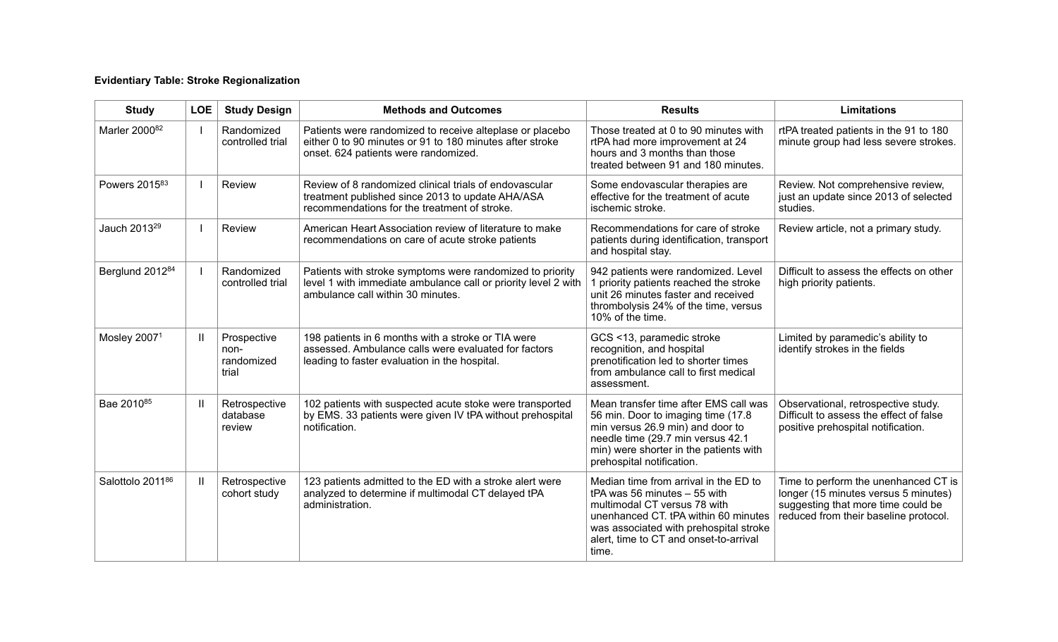# **Evidentiary Table: Stroke Regionalization**

| <b>Study</b>             | <b>LOE</b>   | <b>Study Design</b>                        | <b>Methods and Outcomes</b>                                                                                                                                      | <b>Results</b>                                                                                                                                                                                                                             | <b>Limitations</b>                                                                                                                                          |
|--------------------------|--------------|--------------------------------------------|------------------------------------------------------------------------------------------------------------------------------------------------------------------|--------------------------------------------------------------------------------------------------------------------------------------------------------------------------------------------------------------------------------------------|-------------------------------------------------------------------------------------------------------------------------------------------------------------|
| Marler 200082            |              | Randomized<br>controlled trial             | Patients were randomized to receive alteplase or placebo<br>either 0 to 90 minutes or 91 to 180 minutes after stroke<br>onset. 624 patients were randomized.     | Those treated at 0 to 90 minutes with<br>rtPA had more improvement at 24<br>hours and 3 months than those<br>treated between 91 and 180 minutes.                                                                                           | rtPA treated patients in the 91 to 180<br>minute group had less severe strokes.                                                                             |
| Powers 201583            |              | Review                                     | Review of 8 randomized clinical trials of endovascular<br>treatment published since 2013 to update AHA/ASA<br>recommendations for the treatment of stroke.       | Some endovascular therapies are<br>effective for the treatment of acute<br>ischemic stroke.                                                                                                                                                | Review. Not comprehensive review,<br>just an update since 2013 of selected<br>studies.                                                                      |
| Jauch 2013 <sup>29</sup> |              | Review                                     | American Heart Association review of literature to make<br>recommendations on care of acute stroke patients                                                      | Recommendations for care of stroke<br>patients during identification, transport<br>and hospital stay.                                                                                                                                      | Review article, not a primary study.                                                                                                                        |
| Berglund 201284          |              | Randomized<br>controlled trial             | Patients with stroke symptoms were randomized to priority<br>level 1 with immediate ambulance call or priority level 2 with<br>ambulance call within 30 minutes. | 942 patients were randomized. Level<br>1 priority patients reached the stroke<br>unit 26 minutes faster and received<br>thrombolysis 24% of the time, versus<br>10% of the time.                                                           | Difficult to assess the effects on other<br>high priority patients.                                                                                         |
| Mosley 20071             | Ш            | Prospective<br>non-<br>randomized<br>trial | 198 patients in 6 months with a stroke or TIA were<br>assessed. Ambulance calls were evaluated for factors<br>leading to faster evaluation in the hospital.      | GCS <13, paramedic stroke<br>recognition, and hospital<br>prenotification led to shorter times<br>from ambulance call to first medical<br>assessment.                                                                                      | Limited by paramedic's ability to<br>identify strokes in the fields                                                                                         |
| Bae 2010 <sup>85</sup>   | Ш            | Retrospective<br>database<br>review        | 102 patients with suspected acute stoke were transported<br>by EMS. 33 patients were given IV tPA without prehospital<br>notification.                           | Mean transfer time after EMS call was<br>56 min. Door to imaging time (17.8)<br>min versus 26.9 min) and door to<br>needle time (29.7 min versus 42.1<br>min) were shorter in the patients with<br>prehospital notification.               | Observational, retrospective study.<br>Difficult to assess the effect of false<br>positive prehospital notification.                                        |
| Salottolo 201186         | $\mathbf{H}$ | Retrospective<br>cohort study              | 123 patients admitted to the ED with a stroke alert were<br>analyzed to determine if multimodal CT delayed tPA<br>administration.                                | Median time from arrival in the ED to<br>tPA was 56 minutes - 55 with<br>multimodal CT versus 78 with<br>unenhanced CT. tPA within 60 minutes<br>was associated with prehospital stroke<br>alert, time to CT and onset-to-arrival<br>time. | Time to perform the unenhanced CT is<br>longer (15 minutes versus 5 minutes)<br>suggesting that more time could be<br>reduced from their baseline protocol. |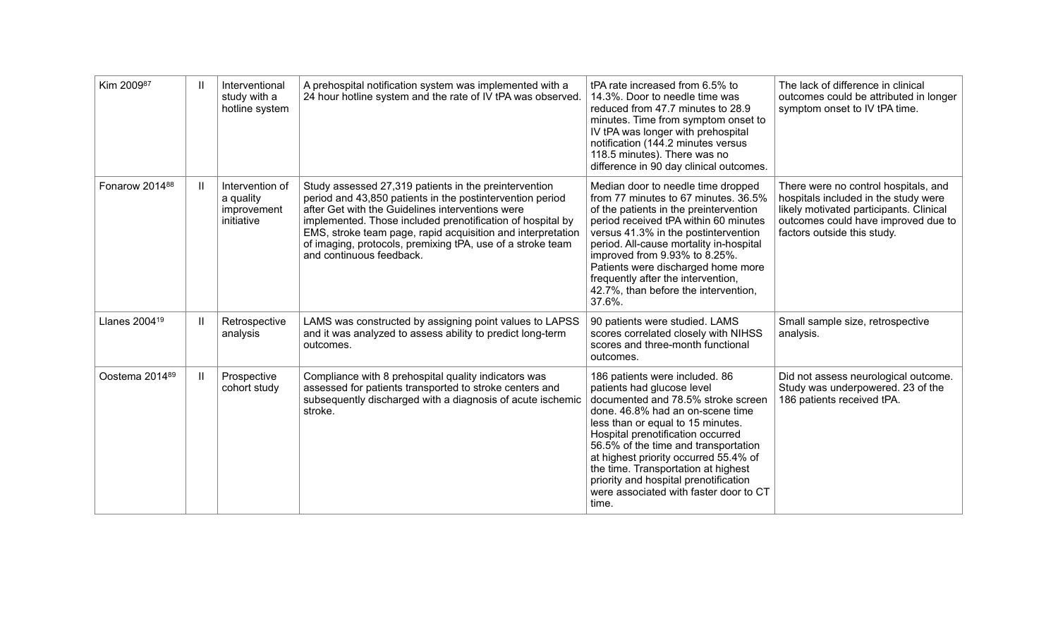| Kim 200987                |   | Interventional<br>study with a<br>hotline system          | A prehospital notification system was implemented with a<br>24 hour hotline system and the rate of IV tPA was observed.                                                                                                                                                                                                                                                                       | tPA rate increased from 6.5% to<br>14.3%. Door to needle time was<br>reduced from 47.7 minutes to 28.9<br>minutes. Time from symptom onset to<br>IV tPA was longer with prehospital<br>notification (144.2 minutes versus<br>118.5 minutes). There was no<br>difference in 90 day clinical outcomes.                                                                                                                                 | The lack of difference in clinical<br>outcomes could be attributed in longer<br>symptom onset to IV tPA time.                                                                                 |
|---------------------------|---|-----------------------------------------------------------|-----------------------------------------------------------------------------------------------------------------------------------------------------------------------------------------------------------------------------------------------------------------------------------------------------------------------------------------------------------------------------------------------|--------------------------------------------------------------------------------------------------------------------------------------------------------------------------------------------------------------------------------------------------------------------------------------------------------------------------------------------------------------------------------------------------------------------------------------|-----------------------------------------------------------------------------------------------------------------------------------------------------------------------------------------------|
| Fonarow 201488            | H | Intervention of<br>a quality<br>improvement<br>initiative | Study assessed 27,319 patients in the preintervention<br>period and 43,850 patients in the postintervention period<br>after Get with the Guidelines interventions were<br>implemented. Those included prenotification of hospital by<br>EMS, stroke team page, rapid acquisition and interpretation<br>of imaging, protocols, premixing tPA, use of a stroke team<br>and continuous feedback. | Median door to needle time dropped<br>from 77 minutes to 67 minutes. 36.5%<br>of the patients in the preintervention<br>period received tPA within 60 minutes<br>versus 41.3% in the postintervention<br>period. All-cause mortality in-hospital<br>improved from 9.93% to 8.25%.<br>Patients were discharged home more<br>frequently after the intervention,<br>42.7%, than before the intervention,<br>37.6%.                      | There were no control hospitals, and<br>hospitals included in the study were<br>likely motivated participants. Clinical<br>outcomes could have improved due to<br>factors outside this study. |
| Llanes 2004 <sup>19</sup> | H | Retrospective<br>analysis                                 | LAMS was constructed by assigning point values to LAPSS<br>and it was analyzed to assess ability to predict long-term<br>outcomes.                                                                                                                                                                                                                                                            | 90 patients were studied. LAMS<br>scores correlated closely with NIHSS<br>scores and three-month functional<br>outcomes.                                                                                                                                                                                                                                                                                                             | Small sample size, retrospective<br>analysis.                                                                                                                                                 |
| Oostema 201489            | Ш | Prospective<br>cohort study                               | Compliance with 8 prehospital quality indicators was<br>assessed for patients transported to stroke centers and<br>subsequently discharged with a diagnosis of acute ischemic<br>stroke.                                                                                                                                                                                                      | 186 patients were included. 86<br>patients had glucose level<br>documented and 78.5% stroke screen<br>done. 46.8% had an on-scene time<br>less than or equal to 15 minutes.<br>Hospital prenotification occurred<br>56.5% of the time and transportation<br>at highest priority occurred 55.4% of<br>the time. Transportation at highest<br>priority and hospital prenotification<br>were associated with faster door to CT<br>time. | Did not assess neurological outcome.<br>Study was underpowered. 23 of the<br>186 patients received tPA.                                                                                       |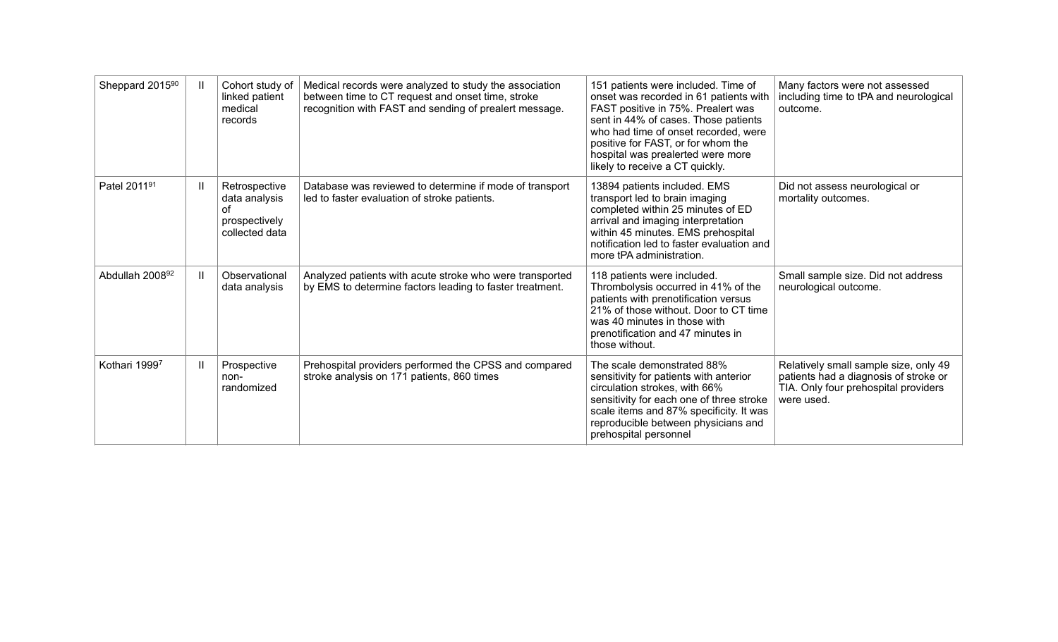| Sheppard 2015 <sup>90</sup> | Ш            | Cohort study of<br>linked patient<br>medical<br>records                 | Medical records were analyzed to study the association<br>between time to CT request and onset time, stroke<br>recognition with FAST and sending of prealert message. | 151 patients were included. Time of<br>onset was recorded in 61 patients with<br>FAST positive in 75%. Prealert was<br>sent in 44% of cases. Those patients<br>who had time of onset recorded, were<br>positive for FAST, or for whom the<br>hospital was prealerted were more<br>likely to receive a CT quickly. | Many factors were not assessed<br>including time to tPA and neurological<br>outcome.                                                 |
|-----------------------------|--------------|-------------------------------------------------------------------------|-----------------------------------------------------------------------------------------------------------------------------------------------------------------------|-------------------------------------------------------------------------------------------------------------------------------------------------------------------------------------------------------------------------------------------------------------------------------------------------------------------|--------------------------------------------------------------------------------------------------------------------------------------|
| Patel 201191                | Ш            | Retrospective<br>data analysis<br>Ωf<br>prospectively<br>collected data | Database was reviewed to determine if mode of transport<br>led to faster evaluation of stroke patients.                                                               | 13894 patients included. EMS<br>transport led to brain imaging<br>completed within 25 minutes of ED<br>arrival and imaging interpretation<br>within 45 minutes. EMS prehospital<br>notification led to faster evaluation and<br>more tPA administration.                                                          | Did not assess neurological or<br>mortality outcomes.                                                                                |
| Abdullah 200892             | Ш            | Observational<br>data analysis                                          | Analyzed patients with acute stroke who were transported<br>by EMS to determine factors leading to faster treatment.                                                  | 118 patients were included.<br>Thrombolysis occurred in 41% of the<br>patients with prenotification versus<br>21% of those without. Door to CT time<br>was 40 minutes in those with<br>prenotification and 47 minutes in<br>those without.                                                                        | Small sample size. Did not address<br>neurological outcome.                                                                          |
| Kothari 19997               | $\mathbf{I}$ | Prospective<br>non-<br>randomized                                       | Prehospital providers performed the CPSS and compared<br>stroke analysis on 171 patients, 860 times                                                                   | The scale demonstrated 88%<br>sensitivity for patients with anterior<br>circulation strokes, with 66%<br>sensitivity for each one of three stroke<br>scale items and 87% specificity. It was<br>reproducible between physicians and<br>prehospital personnel                                                      | Relatively small sample size, only 49<br>patients had a diagnosis of stroke or<br>TIA. Only four prehospital providers<br>were used. |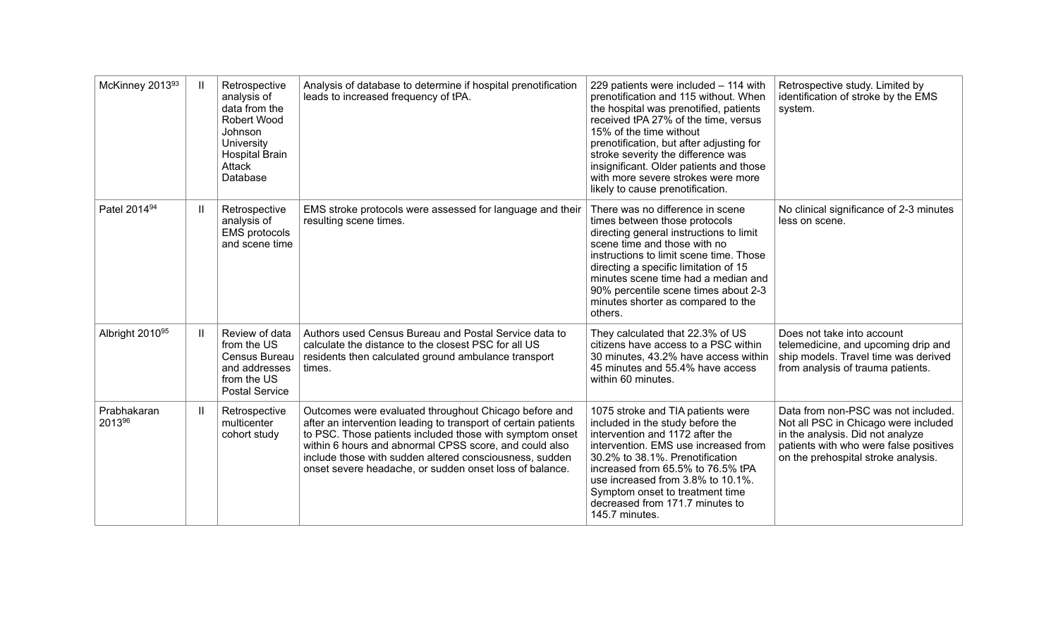| McKinney 201393          | Ш | Retrospective<br>analysis of<br>data from the<br>Robert Wood<br>Johnson<br>University<br><b>Hospital Brain</b><br>Attack<br>Database | Analysis of database to determine if hospital prenotification<br>leads to increased frequency of tPA.                                                                                                                                                                                                                                                               | 229 patients were included - 114 with<br>prenotification and 115 without. When<br>the hospital was prenotified, patients<br>received tPA 27% of the time, versus<br>15% of the time without<br>prenotification, but after adjusting for<br>stroke severity the difference was<br>insignificant. Older patients and those<br>with more severe strokes were more<br>likely to cause prenotification. | Retrospective study. Limited by<br>identification of stroke by the EMS<br>system.                                                                                                                |
|--------------------------|---|--------------------------------------------------------------------------------------------------------------------------------------|---------------------------------------------------------------------------------------------------------------------------------------------------------------------------------------------------------------------------------------------------------------------------------------------------------------------------------------------------------------------|----------------------------------------------------------------------------------------------------------------------------------------------------------------------------------------------------------------------------------------------------------------------------------------------------------------------------------------------------------------------------------------------------|--------------------------------------------------------------------------------------------------------------------------------------------------------------------------------------------------|
| Patel 2014 <sup>94</sup> | Ш | Retrospective<br>analysis of<br><b>EMS</b> protocols<br>and scene time                                                               | EMS stroke protocols were assessed for language and their<br>resulting scene times.                                                                                                                                                                                                                                                                                 | There was no difference in scene<br>times between those protocols<br>directing general instructions to limit<br>scene time and those with no<br>instructions to limit scene time. Those<br>directing a specific limitation of 15<br>minutes scene time had a median and<br>90% percentile scene times about 2-3<br>minutes shorter as compared to the<br>others.                                   | No clinical significance of 2-3 minutes<br>less on scene.                                                                                                                                        |
| Albright 201095          | Ш | Review of data<br>from the US<br>Census Bureau<br>and addresses<br>from the US<br><b>Postal Service</b>                              | Authors used Census Bureau and Postal Service data to<br>calculate the distance to the closest PSC for all US<br>residents then calculated ground ambulance transport<br>times.                                                                                                                                                                                     | They calculated that 22.3% of US<br>citizens have access to a PSC within<br>30 minutes, 43.2% have access within<br>45 minutes and 55.4% have access<br>within 60 minutes.                                                                                                                                                                                                                         | Does not take into account<br>telemedicine, and upcoming drip and<br>ship models. Travel time was derived<br>from analysis of trauma patients.                                                   |
| Prabhakaran<br>201396    | Ш | Retrospective<br>multicenter<br>cohort study                                                                                         | Outcomes were evaluated throughout Chicago before and<br>after an intervention leading to transport of certain patients<br>to PSC. Those patients included those with symptom onset<br>within 6 hours and abnormal CPSS score, and could also<br>include those with sudden altered consciousness, sudden<br>onset severe headache, or sudden onset loss of balance. | 1075 stroke and TIA patients were<br>included in the study before the<br>intervention and 1172 after the<br>intervention. EMS use increased from<br>30.2% to 38.1%. Prenotification<br>increased from 65.5% to 76.5% tPA<br>use increased from 3.8% to 10.1%.<br>Symptom onset to treatment time<br>decreased from 171.7 minutes to<br>145.7 minutes.                                              | Data from non-PSC was not included.<br>Not all PSC in Chicago were included<br>in the analysis. Did not analyze<br>patients with who were false positives<br>on the prehospital stroke analysis. |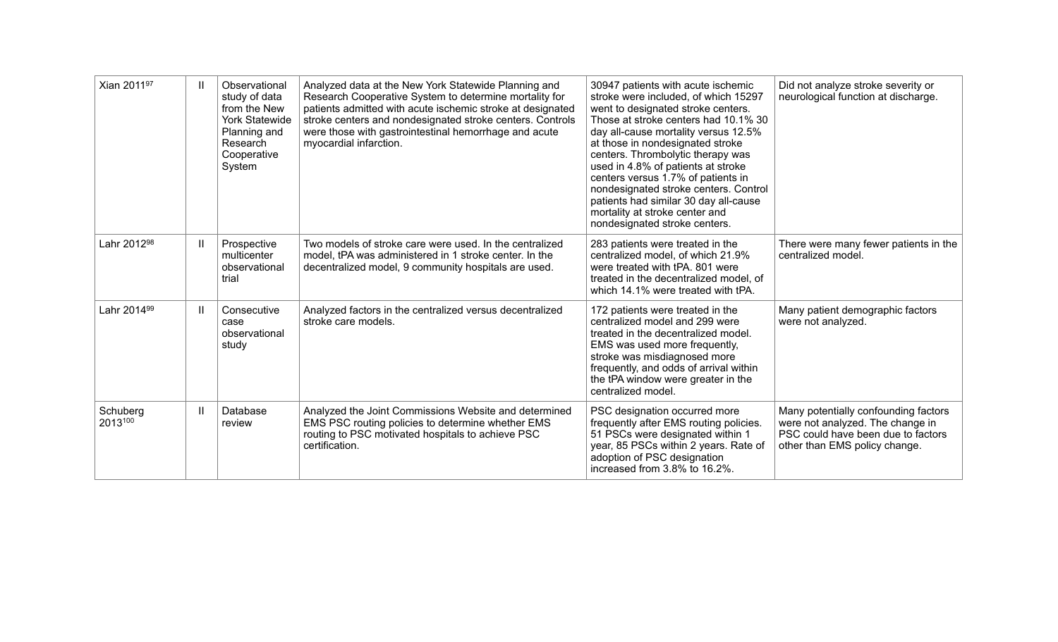| Xian 201197             | $\mathbf{H}$ | Observational<br>study of data<br>from the New<br><b>York Statewide</b><br>Planning and<br>Research<br>Cooperative<br>System | Analyzed data at the New York Statewide Planning and<br>Research Cooperative System to determine mortality for<br>patients admitted with acute ischemic stroke at designated<br>stroke centers and nondesignated stroke centers. Controls<br>were those with gastrointestinal hemorrhage and acute<br>myocardial infarction. | 30947 patients with acute ischemic<br>stroke were included, of which 15297<br>went to designated stroke centers.<br>Those at stroke centers had 10.1% 30<br>day all-cause mortality versus 12.5%<br>at those in nondesignated stroke<br>centers. Thrombolytic therapy was<br>used in 4.8% of patients at stroke<br>centers versus 1.7% of patients in<br>nondesignated stroke centers. Control<br>patients had similar 30 day all-cause<br>mortality at stroke center and<br>nondesignated stroke centers. | Did not analyze stroke severity or<br>neurological function at discharge.                                                                       |
|-------------------------|--------------|------------------------------------------------------------------------------------------------------------------------------|------------------------------------------------------------------------------------------------------------------------------------------------------------------------------------------------------------------------------------------------------------------------------------------------------------------------------|------------------------------------------------------------------------------------------------------------------------------------------------------------------------------------------------------------------------------------------------------------------------------------------------------------------------------------------------------------------------------------------------------------------------------------------------------------------------------------------------------------|-------------------------------------------------------------------------------------------------------------------------------------------------|
| Lahr 2012 <sup>98</sup> | $\mathbf{I}$ | Prospective<br>multicenter<br>observational<br>trial                                                                         | Two models of stroke care were used. In the centralized<br>model, tPA was administered in 1 stroke center. In the<br>decentralized model, 9 community hospitals are used.                                                                                                                                                    | 283 patients were treated in the<br>centralized model, of which 21.9%<br>were treated with tPA. 801 were<br>treated in the decentralized model, of<br>which 14.1% were treated with tPA.                                                                                                                                                                                                                                                                                                                   | There were many fewer patients in the<br>centralized model.                                                                                     |
| Lahr 2014 <sup>99</sup> | Ш            | Consecutive<br>case<br>observational<br>study                                                                                | Analyzed factors in the centralized versus decentralized<br>stroke care models.                                                                                                                                                                                                                                              | 172 patients were treated in the<br>centralized model and 299 were<br>treated in the decentralized model.<br>EMS was used more frequently,<br>stroke was misdiagnosed more<br>frequently, and odds of arrival within<br>the tPA window were greater in the<br>centralized model.                                                                                                                                                                                                                           | Many patient demographic factors<br>were not analyzed.                                                                                          |
| Schuberg<br>2013100     | $\mathbf{H}$ | Database<br>review                                                                                                           | Analyzed the Joint Commissions Website and determined<br>EMS PSC routing policies to determine whether EMS<br>routing to PSC motivated hospitals to achieve PSC<br>certification.                                                                                                                                            | PSC designation occurred more<br>frequently after EMS routing policies.<br>51 PSCs were designated within 1<br>year, 85 PSCs within 2 years. Rate of<br>adoption of PSC designation<br>increased from 3.8% to 16.2%.                                                                                                                                                                                                                                                                                       | Many potentially confounding factors<br>were not analyzed. The change in<br>PSC could have been due to factors<br>other than EMS policy change. |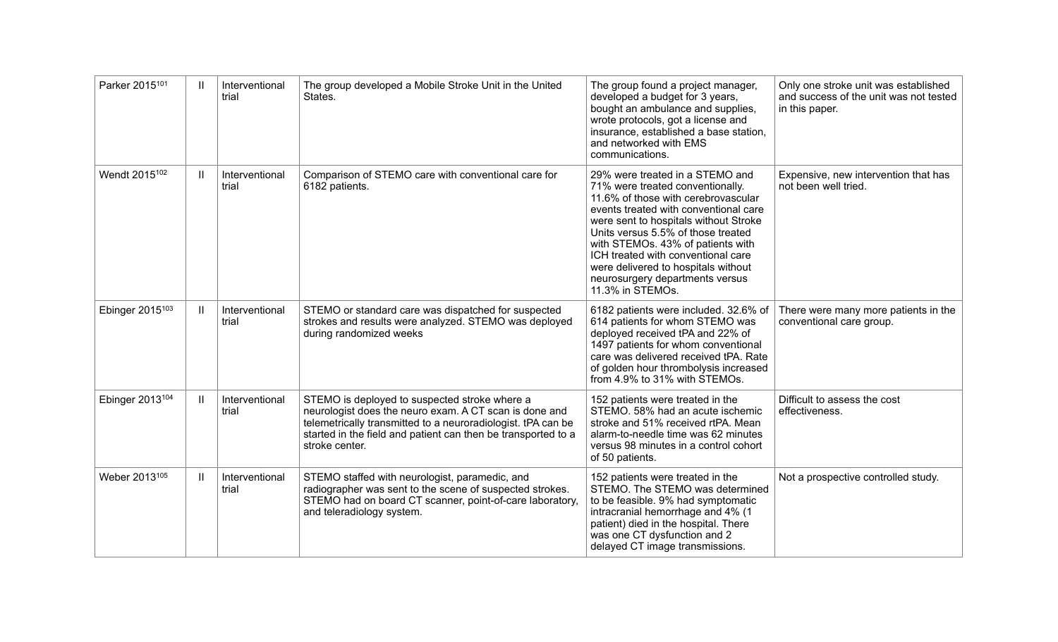| Parker 2015101              | $\mathbf{H}$ | Interventional<br>trial | The group developed a Mobile Stroke Unit in the United<br>States.                                                                                                                                                                                          | The group found a project manager,<br>developed a budget for 3 years,<br>bought an ambulance and supplies,<br>wrote protocols, got a license and<br>insurance, established a base station,<br>and networked with EMS<br>communications.                                                                                                                                                                     | Only one stroke unit was established<br>and success of the unit was not tested<br>in this paper. |
|-----------------------------|--------------|-------------------------|------------------------------------------------------------------------------------------------------------------------------------------------------------------------------------------------------------------------------------------------------------|-------------------------------------------------------------------------------------------------------------------------------------------------------------------------------------------------------------------------------------------------------------------------------------------------------------------------------------------------------------------------------------------------------------|--------------------------------------------------------------------------------------------------|
| Wendt 2015 <sup>102</sup>   | $\mathbf{I}$ | Interventional<br>trial | Comparison of STEMO care with conventional care for<br>6182 patients.                                                                                                                                                                                      | 29% were treated in a STEMO and<br>71% were treated conventionally.<br>11.6% of those with cerebrovascular<br>events treated with conventional care<br>were sent to hospitals without Stroke<br>Units versus 5.5% of those treated<br>with STEMOs. 43% of patients with<br>ICH treated with conventional care<br>were delivered to hospitals without<br>neurosurgery departments versus<br>11.3% in STEMOs. | Expensive, new intervention that has<br>not been well tried.                                     |
| Ebinger 2015 <sup>103</sup> | $\mathbf{H}$ | Interventional<br>trial | STEMO or standard care was dispatched for suspected<br>strokes and results were analyzed. STEMO was deployed<br>during randomized weeks                                                                                                                    | 6182 patients were included. 32.6% of<br>614 patients for whom STEMO was<br>deployed received tPA and 22% of<br>1497 patients for whom conventional<br>care was delivered received tPA. Rate<br>of golden hour thrombolysis increased<br>from 4.9% to 31% with STEMOs.                                                                                                                                      | There were many more patients in the<br>conventional care group.                                 |
| Ebinger 2013 <sup>104</sup> | $\mathbf{H}$ | Interventional<br>trial | STEMO is deployed to suspected stroke where a<br>neurologist does the neuro exam. A CT scan is done and<br>telemetrically transmitted to a neuroradiologist. tPA can be<br>started in the field and patient can then be transported to a<br>stroke center. | 152 patients were treated in the<br>STEMO. 58% had an acute ischemic<br>stroke and 51% received rtPA. Mean<br>alarm-to-needle time was 62 minutes<br>versus 98 minutes in a control cohort<br>of 50 patients.                                                                                                                                                                                               | Difficult to assess the cost<br>effectiveness.                                                   |
| Weber 2013105               | $\mathbf{I}$ | Interventional<br>trial | STEMO staffed with neurologist, paramedic, and<br>radiographer was sent to the scene of suspected strokes.<br>STEMO had on board CT scanner, point-of-care laboratory,<br>and teleradiology system.                                                        | 152 patients were treated in the<br>STEMO. The STEMO was determined<br>to be feasible. 9% had symptomatic<br>intracranial hemorrhage and 4% (1<br>patient) died in the hospital. There<br>was one CT dysfunction and 2<br>delayed CT image transmissions.                                                                                                                                                   | Not a prospective controlled study.                                                              |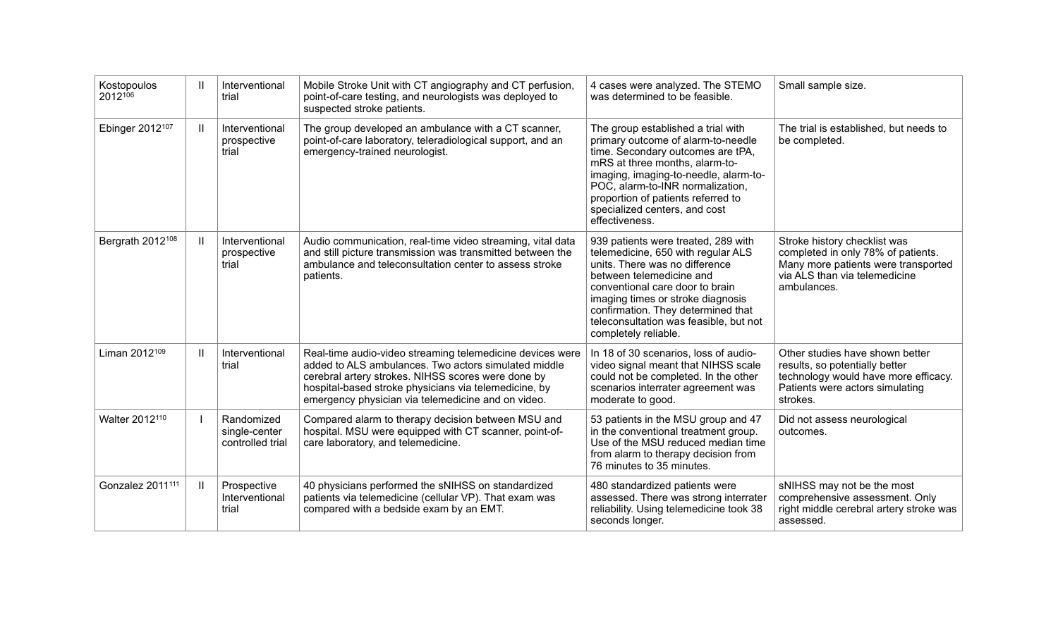| Kostopoulos<br>2012106       | $\mathbf{H}$ | Interventional<br>trial                         | Mobile Stroke Unit with CT angiography and CT perfusion,<br>point-of-care testing, and neurologists was deployed to<br>suspected stroke patients.                                                                                                                                      | 4 cases were analyzed. The STEMO<br>was determined to be feasible.                                                                                                                                                                                                                                                      | Small sample size.                                                                                                                                        |
|------------------------------|--------------|-------------------------------------------------|----------------------------------------------------------------------------------------------------------------------------------------------------------------------------------------------------------------------------------------------------------------------------------------|-------------------------------------------------------------------------------------------------------------------------------------------------------------------------------------------------------------------------------------------------------------------------------------------------------------------------|-----------------------------------------------------------------------------------------------------------------------------------------------------------|
| Ebinger 2012 <sup>107</sup>  | $\mathbf{H}$ | Interventional<br>prospective<br>trial          | The group developed an ambulance with a CT scanner,<br>point-of-care laboratory, teleradiological support, and an<br>emergency-trained neurologist.                                                                                                                                    | The group established a trial with<br>primary outcome of alarm-to-needle<br>time. Secondary outcomes are tPA,<br>mRS at three months, alarm-to-<br>imaging, imaging-to-needle, alarm-to-<br>POC, alarm-to-INR normalization,<br>proportion of patients referred to<br>specialized centers, and cost<br>effectiveness.   | The trial is established, but needs to<br>be completed.                                                                                                   |
| Bergrath 2012 <sup>108</sup> | Ш            | Interventional<br>prospective<br>trial          | Audio communication, real-time video streaming, vital data<br>and still picture transmission was transmitted between the<br>ambulance and teleconsultation center to assess stroke<br>patients.                                                                                        | 939 patients were treated, 289 with<br>telemedicine, 650 with regular ALS<br>units. There was no difference<br>between telemedicine and<br>conventional care door to brain<br>imaging times or stroke diagnosis<br>confirmation. They determined that<br>teleconsultation was feasible, but not<br>completely reliable. | Stroke history checklist was<br>completed in only 78% of patients.<br>Many more patients were transported<br>via ALS than via telemedicine<br>ambulances. |
| Liman 2012 <sup>109</sup>    | $\mathbf{H}$ | Interventional<br>trial                         | Real-time audio-video streaming telemedicine devices were<br>added to ALS ambulances. Two actors simulated middle<br>cerebral artery strokes. NIHSS scores were done by<br>hospital-based stroke physicians via telemedicine, by<br>emergency physician via telemedicine and on video. | In 18 of 30 scenarios, loss of audio-<br>video signal meant that NIHSS scale<br>could not be completed. In the other<br>scenarios interrater agreement was<br>moderate to good.                                                                                                                                         | Other studies have shown better<br>results, so potentially better<br>technology would have more efficacy.<br>Patients were actors simulating<br>strokes.  |
| Walter 2012 <sup>110</sup>   |              | Randomized<br>single-center<br>controlled trial | Compared alarm to therapy decision between MSU and<br>hospital. MSU were equipped with CT scanner, point-of-<br>care laboratory, and telemedicine.                                                                                                                                     | 53 patients in the MSU group and 47<br>in the conventional treatment group.<br>Use of the MSU reduced median time<br>from alarm to therapy decision from<br>76 minutes to 35 minutes.                                                                                                                                   | Did not assess neurological<br>outcomes.                                                                                                                  |
| Gonzalez 2011 <sup>111</sup> | $\mathbf{H}$ | Prospective<br>Interventional<br>trial          | 40 physicians performed the sNIHSS on standardized<br>patients via telemedicine (cellular VP). That exam was<br>compared with a bedside exam by an EMT.                                                                                                                                | 480 standardized patients were<br>assessed. There was strong interrater<br>reliability. Using telemedicine took 38<br>seconds longer.                                                                                                                                                                                   | sNIHSS may not be the most<br>comprehensive assessment. Only<br>right middle cerebral artery stroke was<br>assessed.                                      |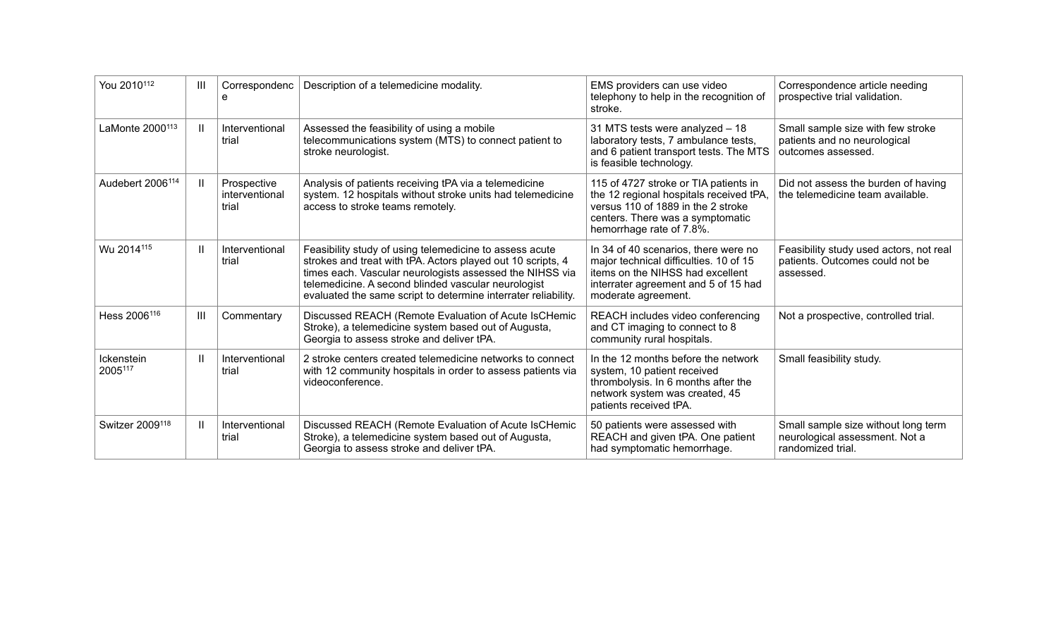| You 2010 <sup>112</sup>      | Ш            | Correspondenc<br>e                     | Description of a telemedicine modality.                                                                                                                                                                                                                                                                     | EMS providers can use video<br>telephony to help in the recognition of<br>stroke.                                                                                                      | Correspondence article needing<br>prospective trial validation.                            |
|------------------------------|--------------|----------------------------------------|-------------------------------------------------------------------------------------------------------------------------------------------------------------------------------------------------------------------------------------------------------------------------------------------------------------|----------------------------------------------------------------------------------------------------------------------------------------------------------------------------------------|--------------------------------------------------------------------------------------------|
| LaMonte 2000 <sup>113</sup>  | Ш            | Interventional<br>trial                | Assessed the feasibility of using a mobile<br>telecommunications system (MTS) to connect patient to<br>stroke neurologist.                                                                                                                                                                                  | 31 MTS tests were analyzed - 18<br>laboratory tests, 7 ambulance tests,<br>and 6 patient transport tests. The MTS<br>is feasible technology.                                           | Small sample size with few stroke<br>patients and no neurological<br>outcomes assessed.    |
| Audebert 2006 <sup>114</sup> | Ш            | Prospective<br>interventional<br>trial | Analysis of patients receiving tPA via a telemedicine<br>system. 12 hospitals without stroke units had telemedicine<br>access to stroke teams remotely.                                                                                                                                                     | 115 of 4727 stroke or TIA patients in<br>the 12 regional hospitals received tPA,<br>versus 110 of 1889 in the 2 stroke<br>centers. There was a symptomatic<br>hemorrhage rate of 7.8%. | Did not assess the burden of having<br>the telemedicine team available.                    |
| Wu 2014115                   | Ш            | Interventional<br>trial                | Feasibility study of using telemedicine to assess acute<br>strokes and treat with tPA. Actors played out 10 scripts, 4<br>times each. Vascular neurologists assessed the NIHSS via<br>telemedicine. A second blinded vascular neurologist<br>evaluated the same script to determine interrater reliability. | In 34 of 40 scenarios, there were no<br>major technical difficulties. 10 of 15<br>items on the NIHSS had excellent<br>interrater agreement and 5 of 15 had<br>moderate agreement.      | Feasibility study used actors, not real<br>patients. Outcomes could not be<br>assessed.    |
| Hess 2006 <sup>116</sup>     | Ш            | Commentary                             | Discussed REACH (Remote Evaluation of Acute IsCHemic<br>Stroke), a telemedicine system based out of Augusta,<br>Georgia to assess stroke and deliver tPA.                                                                                                                                                   | REACH includes video conferencing<br>and CT imaging to connect to 8<br>community rural hospitals.                                                                                      | Not a prospective, controlled trial.                                                       |
| Ickenstein<br>2005117        | $\mathbf{H}$ | Interventional<br>trial                | 2 stroke centers created telemedicine networks to connect<br>with 12 community hospitals in order to assess patients via<br>videoconference.                                                                                                                                                                | In the 12 months before the network<br>system, 10 patient received<br>thrombolysis. In 6 months after the<br>network system was created, 45<br>patients received tPA.                  | Small feasibility study.                                                                   |
| Switzer 2009 <sup>118</sup>  | Ш            | Interventional<br>trial                | Discussed REACH (Remote Evaluation of Acute IsCHemic<br>Stroke), a telemedicine system based out of Augusta,<br>Georgia to assess stroke and deliver tPA.                                                                                                                                                   | 50 patients were assessed with<br>REACH and given tPA. One patient<br>had symptomatic hemorrhage.                                                                                      | Small sample size without long term<br>neurological assessment. Not a<br>randomized trial. |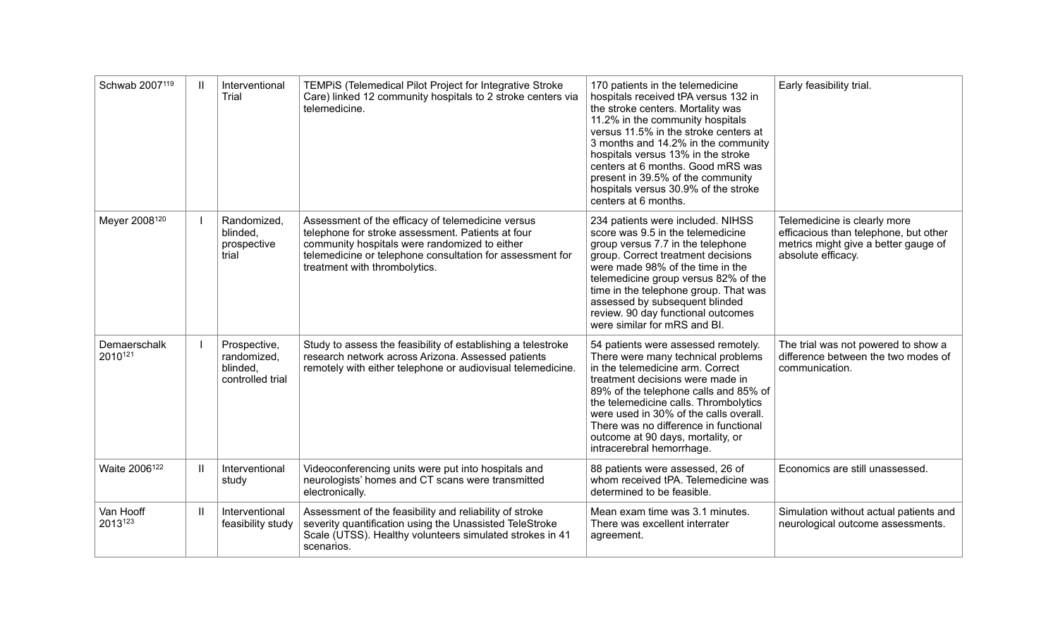| Schwab 2007119            | $\mathbf{H}$  | Interventional<br>Trial                                     | TEMPIS (Telemedical Pilot Project for Integrative Stroke<br>Care) linked 12 community hospitals to 2 stroke centers via<br>telemedicine.                                                                                                              | 170 patients in the telemedicine<br>hospitals received tPA versus 132 in<br>the stroke centers. Mortality was<br>11.2% in the community hospitals<br>versus 11.5% in the stroke centers at<br>3 months and 14.2% in the community<br>hospitals versus 13% in the stroke<br>centers at 6 months. Good mRS was<br>present in 39.5% of the community<br>hospitals versus 30.9% of the stroke<br>centers at 6 months. | Early feasibility trial.                                                                                                            |
|---------------------------|---------------|-------------------------------------------------------------|-------------------------------------------------------------------------------------------------------------------------------------------------------------------------------------------------------------------------------------------------------|-------------------------------------------------------------------------------------------------------------------------------------------------------------------------------------------------------------------------------------------------------------------------------------------------------------------------------------------------------------------------------------------------------------------|-------------------------------------------------------------------------------------------------------------------------------------|
| Meyer 2008120             |               | Randomized,<br>blinded.<br>prospective<br>trial             | Assessment of the efficacy of telemedicine versus<br>telephone for stroke assessment. Patients at four<br>community hospitals were randomized to either<br>telemedicine or telephone consultation for assessment for<br>treatment with thrombolytics. | 234 patients were included. NIHSS<br>score was 9.5 in the telemedicine<br>group versus 7.7 in the telephone<br>group. Correct treatment decisions<br>were made 98% of the time in the<br>telemedicine group versus 82% of the<br>time in the telephone group. That was<br>assessed by subsequent blinded<br>review. 90 day functional outcomes<br>were similar for mRS and BI.                                    | Telemedicine is clearly more<br>efficacious than telephone, but other<br>metrics might give a better gauge of<br>absolute efficacy. |
| Demaerschalk<br>2010121   |               | Prospective,<br>randomized,<br>blinded,<br>controlled trial | Study to assess the feasibility of establishing a telestroke<br>research network across Arizona. Assessed patients<br>remotely with either telephone or audiovisual telemedicine.                                                                     | 54 patients were assessed remotely.<br>There were many technical problems<br>in the telemedicine arm. Correct<br>treatment decisions were made in<br>89% of the telephone calls and 85% of<br>the telemedicine calls. Thrombolytics<br>were used in 30% of the calls overall.<br>There was no difference in functional<br>outcome at 90 days, mortality, or<br>intracerebral hemorrhage.                          | The trial was not powered to show a<br>difference between the two modes of<br>communication.                                        |
| Waite 2006 <sup>122</sup> | $\mathbf{II}$ | Interventional<br>study                                     | Videoconferencing units were put into hospitals and<br>neurologists' homes and CT scans were transmitted<br>electronically.                                                                                                                           | 88 patients were assessed, 26 of<br>whom received tPA. Telemedicine was<br>determined to be feasible.                                                                                                                                                                                                                                                                                                             | Economics are still unassessed.                                                                                                     |
| Van Hooff<br>2013123      | $\mathbf{H}$  | Interventional<br>feasibility study                         | Assessment of the feasibility and reliability of stroke<br>severity quantification using the Unassisted TeleStroke<br>Scale (UTSS). Healthy volunteers simulated strokes in 41<br>scenarios.                                                          | Mean exam time was 3.1 minutes.<br>There was excellent interrater<br>agreement.                                                                                                                                                                                                                                                                                                                                   | Simulation without actual patients and<br>neurological outcome assessments.                                                         |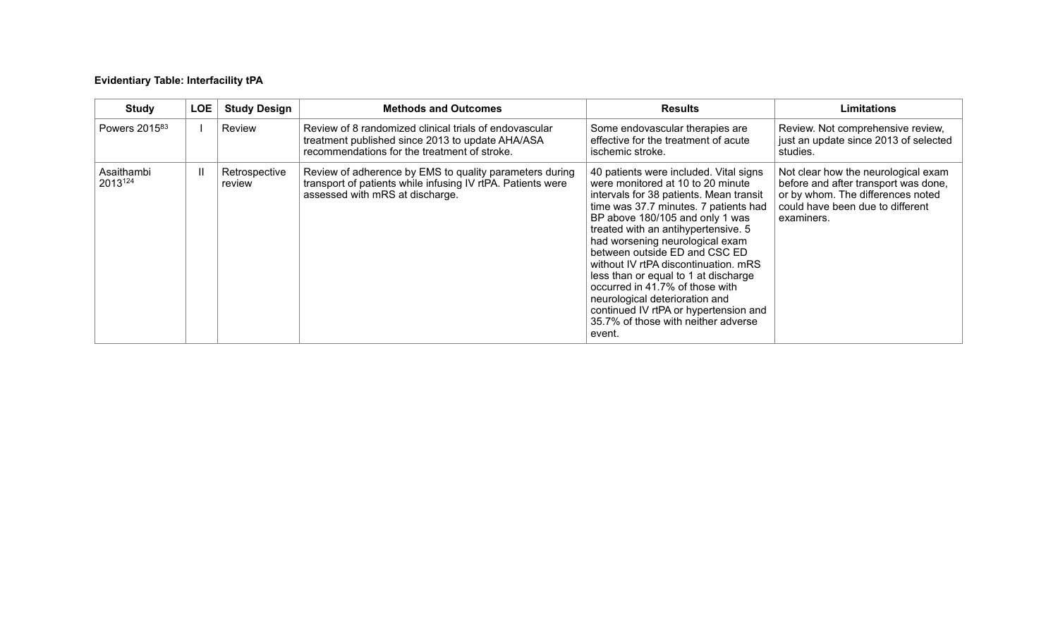# **Evidentiary Table: Interfacility tPA**

| <b>Study</b>              | LOE          | <b>Study Design</b>     | <b>Methods and Outcomes</b>                                                                                                                                | <b>Results</b>                                                                                                                                                                                                                                                                                                                                                                                                                                                                                                                                               | <b>Limitations</b>                                                                                                                                                 |
|---------------------------|--------------|-------------------------|------------------------------------------------------------------------------------------------------------------------------------------------------------|--------------------------------------------------------------------------------------------------------------------------------------------------------------------------------------------------------------------------------------------------------------------------------------------------------------------------------------------------------------------------------------------------------------------------------------------------------------------------------------------------------------------------------------------------------------|--------------------------------------------------------------------------------------------------------------------------------------------------------------------|
| Powers 2015 <sup>83</sup> |              | Review                  | Review of 8 randomized clinical trials of endovascular<br>treatment published since 2013 to update AHA/ASA<br>recommendations for the treatment of stroke. | Some endovascular therapies are<br>effective for the treatment of acute<br>ischemic stroke.                                                                                                                                                                                                                                                                                                                                                                                                                                                                  | Review. Not comprehensive review,<br>just an update since 2013 of selected<br>studies.                                                                             |
| Asaithambi<br>2013124     | $\mathbf{H}$ | Retrospective<br>review | Review of adherence by EMS to quality parameters during<br>transport of patients while infusing IV rtPA. Patients were<br>assessed with mRS at discharge.  | 40 patients were included. Vital signs<br>were monitored at 10 to 20 minute<br>intervals for 38 patients. Mean transit<br>time was 37.7 minutes. 7 patients had<br>BP above 180/105 and only 1 was<br>treated with an antihypertensive. 5<br>had worsening neurological exam<br>between outside ED and CSC ED<br>without IV rtPA discontinuation, mRS<br>less than or equal to 1 at discharge<br>occurred in 41.7% of those with<br>neurological deterioration and<br>continued IV rtPA or hypertension and<br>35.7% of those with neither adverse<br>event. | Not clear how the neurological exam<br>before and after transport was done,<br>or by whom. The differences noted<br>could have been due to different<br>examiners. |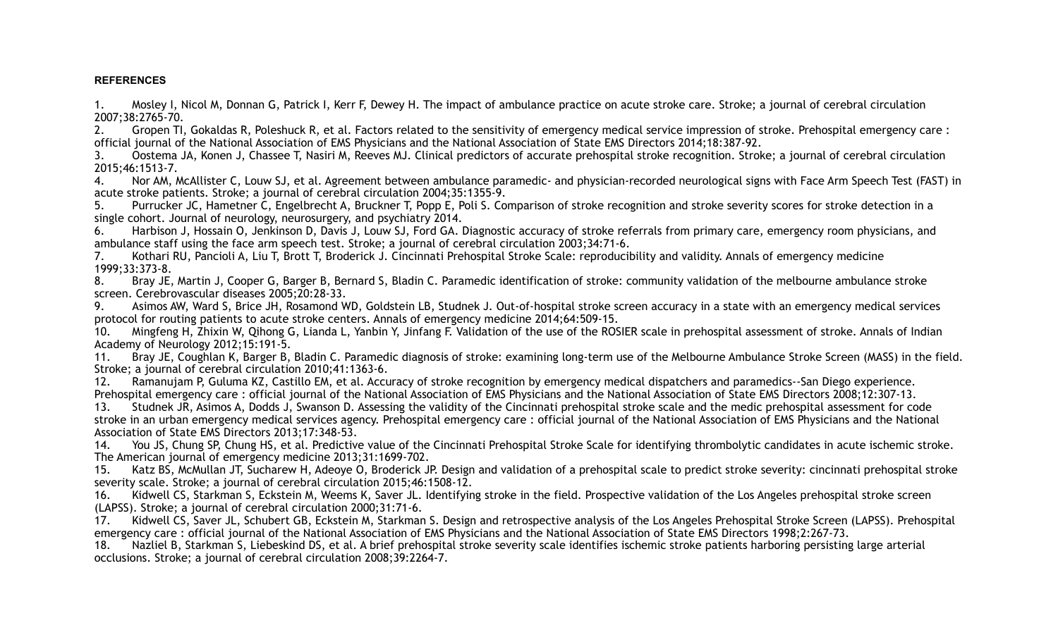## **REFERENCES**

1. Mosley I, Nicol M, Donnan G, Patrick I, Kerr F, Dewey H. The impact of ambulance practice on acute stroke care. Stroke; a journal of cerebral circulation 2007;38:2765-70.

2. Gropen TI, Gokaldas R, Poleshuck R, et al. Factors related to the sensitivity of emergency medical service impression of stroke. Prehospital emergency care : official journal of the National Association of EMS Physicians and the National Association of State EMS Directors 2014;18:387-92.

3. Oostema JA, Konen J, Chassee T, Nasiri M, Reeves MJ. Clinical predictors of accurate prehospital stroke recognition. Stroke; a journal of cerebral circulation 2015;46:1513-7.

4. Nor AM, McAllister C, Louw SJ, et al. Agreement between ambulance paramedic- and physician-recorded neurological signs with Face Arm Speech Test (FAST) in acute stroke patients. Stroke; a journal of cerebral circulation 2004;35:1355-9.

5. Purrucker JC, Hametner C, Engelbrecht A, Bruckner T, Popp E, Poli S. Comparison of stroke recognition and stroke severity scores for stroke detection in a single cohort. Journal of neurology, neurosurgery, and psychiatry 2014.

6. Harbison J, Hossain O, Jenkinson D, Davis J, Louw SJ, Ford GA. Diagnostic accuracy of stroke referrals from primary care, emergency room physicians, and ambulance staff using the face arm speech test. Stroke; a journal of cerebral circulation 2003;34:71-6.

7. Kothari RU, Pancioli A, Liu T, Brott T, Broderick J. Cincinnati Prehospital Stroke Scale: reproducibility and validity. Annals of emergency medicine 1999;33:373-8.

8. Bray JE, Martin J, Cooper G, Barger B, Bernard S, Bladin C. Paramedic identification of stroke: community validation of the melbourne ambulance stroke screen. Cerebrovascular diseases 2005;20:28-33.

9. Asimos AW, Ward S, Brice JH, Rosamond WD, Goldstein LB, Studnek J. Out-of-hospital stroke screen accuracy in a state with an emergency medical services protocol for routing patients to acute stroke centers. Annals of emergency medicine 2014;64:509-15.

10. Mingfeng H, Zhixin W, Qihong G, Lianda L, Yanbin Y, Jinfang F. Validation of the use of the ROSIER scale in prehospital assessment of stroke. Annals of Indian Academy of Neurology 2012;15:191-5.

11. Bray JE, Coughlan K, Barger B, Bladin C. Paramedic diagnosis of stroke: examining long-term use of the Melbourne Ambulance Stroke Screen (MASS) in the field. Stroke; a journal of cerebral circulation 2010;41:1363-6.

12. Ramanujam P, Guluma KZ, Castillo EM, et al. Accuracy of stroke recognition by emergency medical dispatchers and paramedics--San Diego experience. Prehospital emergency care : official journal of the National Association of EMS Physicians and the National Association of State EMS Directors 2008;12:307-13.

13. Studnek JR, Asimos A, Dodds J, Swanson D. Assessing the validity of the Cincinnati prehospital stroke scale and the medic prehospital assessment for code stroke in an urban emergency medical services agency. Prehospital emergency care : official journal of the National Association of EMS Physicians and the National Association of State EMS Directors 2013;17:348-53.

14. You JS, Chung SP, Chung HS, et al. Predictive value of the Cincinnati Prehospital Stroke Scale for identifying thrombolytic candidates in acute ischemic stroke. The American journal of emergency medicine 2013;31:1699-702.

15. Katz BS, McMullan JT, Sucharew H, Adeoye O, Broderick JP. Design and validation of a prehospital scale to predict stroke severity: cincinnati prehospital stroke severity scale. Stroke; a journal of cerebral circulation 2015;46:1508-12.

16. Kidwell CS, Starkman S, Eckstein M, Weems K, Saver JL. Identifying stroke in the field. Prospective validation of the Los Angeles prehospital stroke screen (LAPSS). Stroke; a journal of cerebral circulation 2000;31:71-6.

17. Kidwell CS, Saver JL, Schubert GB, Eckstein M, Starkman S. Design and retrospective analysis of the Los Angeles Prehospital Stroke Screen (LAPSS). Prehospital emergency care : official journal of the National Association of EMS Physicians and the National Association of State EMS Directors 1998;2:267-73.

18. Nazliel B, Starkman S, Liebeskind DS, et al. A brief prehospital stroke severity scale identifies ischemic stroke patients harboring persisting large arterial occlusions. Stroke; a journal of cerebral circulation 2008;39:2264-7.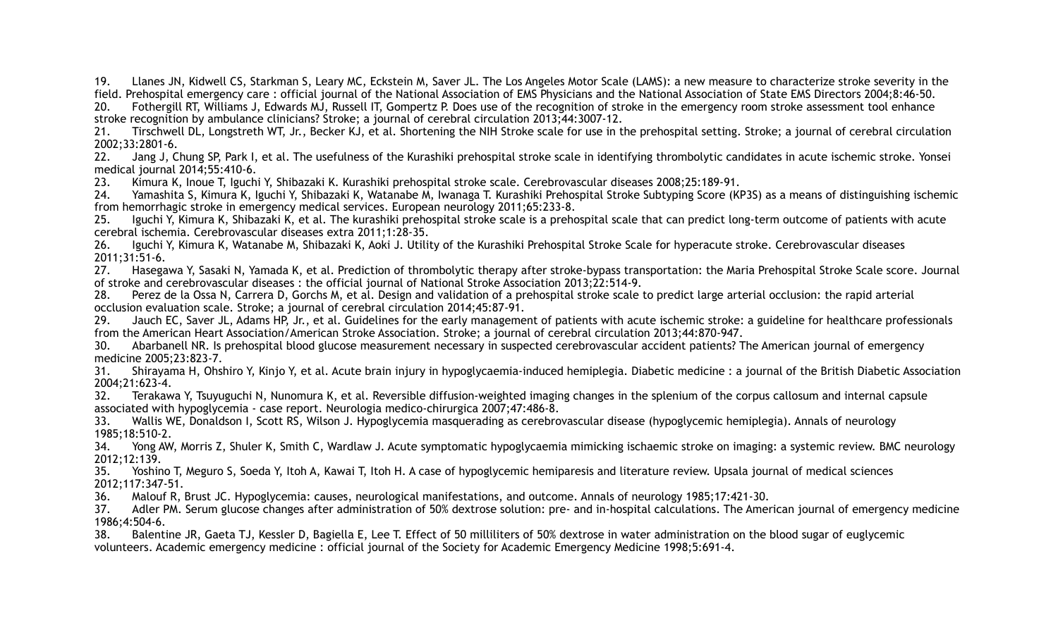19. Llanes JN, Kidwell CS, Starkman S, Leary MC, Eckstein M, Saver JL. The Los Angeles Motor Scale (LAMS): a new measure to characterize stroke severity in the field. Prehospital emergency care : official journal of the National Association of EMS Physicians and the National Association of State EMS Directors 2004;8:46-50.

20. Fothergill RT, Williams J, Edwards MJ, Russell IT, Gompertz P. Does use of the recognition of stroke in the emergency room stroke assessment tool enhance stroke recognition by ambulance clinicians? Stroke; a journal of cerebral circulation 2013;44:3007-12.

21. Tirschwell DL, Longstreth WT, Jr., Becker KJ, et al. Shortening the NIH Stroke scale for use in the prehospital setting. Stroke; a journal of cerebral circulation 2002;33:2801-6.

22. Jang J, Chung SP, Park I, et al. The usefulness of the Kurashiki prehospital stroke scale in identifying thrombolytic candidates in acute ischemic stroke. Yonsei medical journal 2014;55:410-6.

23. Kimura K, Inoue T, Iguchi Y, Shibazaki K. Kurashiki prehospital stroke scale. Cerebrovascular diseases 2008;25:189-91.

24. Yamashita S, Kimura K, Iguchi Y, Shibazaki K, Watanabe M, Iwanaga T. Kurashiki Prehospital Stroke Subtyping Score (KP3S) as a means of distinguishing ischemic from hemorrhagic stroke in emergency medical services. European neurology 2011;65:233-8.

25. Iguchi Y, Kimura K, Shibazaki K, et al. The kurashiki prehospital stroke scale is a prehospital scale that can predict long-term outcome of patients with acute cerebral ischemia. Cerebrovascular diseases extra 2011;1:28-35.

26. Iguchi Y, Kimura K, Watanabe M, Shibazaki K, Aoki J. Utility of the Kurashiki Prehospital Stroke Scale for hyperacute stroke. Cerebrovascular diseases 2011;31:51-6.

27. Hasegawa Y, Sasaki N, Yamada K, et al. Prediction of thrombolytic therapy after stroke-bypass transportation: the Maria Prehospital Stroke Scale score. Journal of stroke and cerebrovascular diseases : the official journal of National Stroke Association 2013;22:514-9.

28. Perez de la Ossa N, Carrera D, Gorchs M, et al. Design and validation of a prehospital stroke scale to predict large arterial occlusion: the rapid arterial occlusion evaluation scale. Stroke; a journal of cerebral circulation 2014;45:87-91.

29. Jauch EC, Saver JL, Adams HP, Jr., et al. Guidelines for the early management of patients with acute ischemic stroke: a guideline for healthcare professionals from the American Heart Association/American Stroke Association. Stroke; a journal of cerebral circulation 2013;44:870-947.

30. Abarbanell NR. Is prehospital blood glucose measurement necessary in suspected cerebrovascular accident patients? The American journal of emergency medicine 2005;23:823-7.

31. Shirayama H, Ohshiro Y, Kinjo Y, et al. Acute brain injury in hypoglycaemia-induced hemiplegia. Diabetic medicine : a journal of the British Diabetic Association 2004;21:623-4.

32. Terakawa Y, Tsuyuguchi N, Nunomura K, et al. Reversible diffusion-weighted imaging changes in the splenium of the corpus callosum and internal capsule associated with hypoglycemia - case report. Neurologia medico-chirurgica 2007;47:486-8.

33. Wallis WE, Donaldson I, Scott RS, Wilson J. Hypoglycemia masquerading as cerebrovascular disease (hypoglycemic hemiplegia). Annals of neurology 1985;18:510-2.

34. Yong AW, Morris Z, Shuler K, Smith C, Wardlaw J. Acute symptomatic hypoglycaemia mimicking ischaemic stroke on imaging: a systemic review. BMC neurology 2012;12:139.

35. Yoshino T, Meguro S, Soeda Y, Itoh A, Kawai T, Itoh H. A case of hypoglycemic hemiparesis and literature review. Upsala journal of medical sciences 2012;117:347-51.

36. Malouf R, Brust JC. Hypoglycemia: causes, neurological manifestations, and outcome. Annals of neurology 1985;17:421-30.

37. Adler PM. Serum glucose changes after administration of 50% dextrose solution: pre- and in-hospital calculations. The American journal of emergency medicine 1986;4:504-6.

38. Balentine JR, Gaeta TJ, Kessler D, Bagiella E, Lee T. Effect of 50 milliliters of 50% dextrose in water administration on the blood sugar of euglycemic volunteers. Academic emergency medicine : official journal of the Society for Academic Emergency Medicine 1998;5:691-4.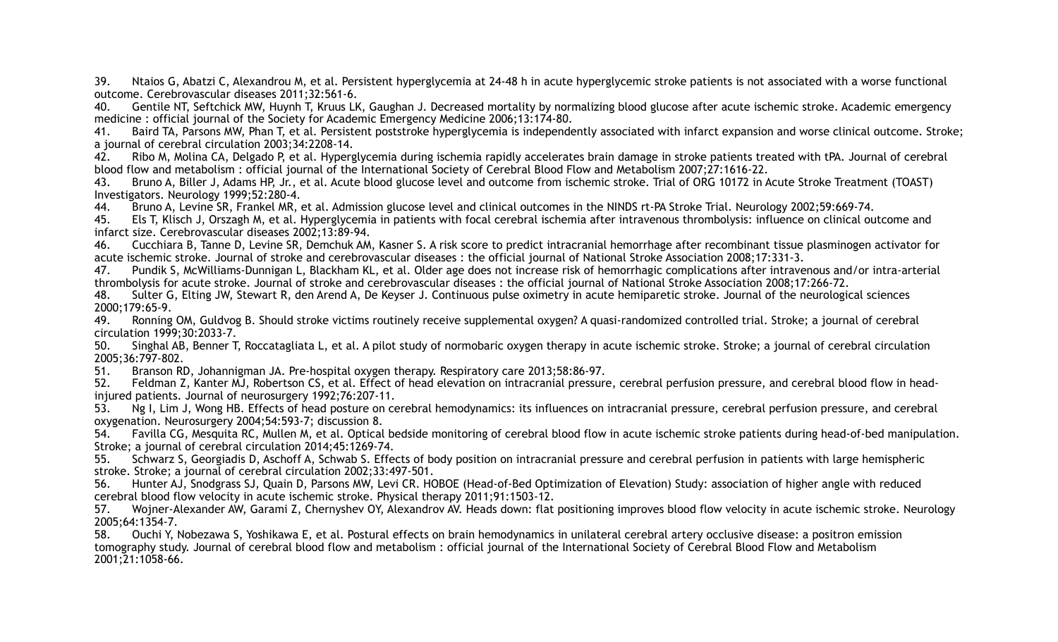39. Ntaios G, Abatzi C, Alexandrou M, et al. Persistent hyperglycemia at 24-48 h in acute hyperglycemic stroke patients is not associated with a worse functional outcome. Cerebrovascular diseases 2011;32:561-6.

40. Gentile NT, Seftchick MW, Huynh T, Kruus LK, Gaughan J. Decreased mortality by normalizing blood glucose after acute ischemic stroke. Academic emergency medicine : official journal of the Society for Academic Emergency Medicine 2006;13:174-80.

Baird TA, Parsons MW, Phan T, et al. Persistent poststroke hyperglycemia is independently associated with infarct expansion and worse clinical outcome. Stroke; a journal of cerebral circulation 2003;34:2208-14.

42. Ribo M, Molina CA, Delgado P, et al. Hyperglycemia during ischemia rapidly accelerates brain damage in stroke patients treated with tPA. Journal of cerebral blood flow and metabolism : official journal of the International Society of Cerebral Blood Flow and Metabolism 2007;27:1616-22.

43. Bruno A, Biller J, Adams HP, Jr., et al. Acute blood glucose level and outcome from ischemic stroke. Trial of ORG 10172 in Acute Stroke Treatment (TOAST) Investigators. Neurology 1999;52:280-4.

44. Bruno A, Levine SR, Frankel MR, et al. Admission glucose level and clinical outcomes in the NINDS rt-PA Stroke Trial. Neurology 2002;59:669-74.

45. Els T, Klisch J, Orszagh M, et al. Hyperglycemia in patients with focal cerebral ischemia after intravenous thrombolysis: influence on clinical outcome and infarct size. Cerebrovascular diseases 2002;13:89-94.

46. Cucchiara B, Tanne D, Levine SR, Demchuk AM, Kasner S. A risk score to predict intracranial hemorrhage after recombinant tissue plasminogen activator for acute ischemic stroke. Journal of stroke and cerebrovascular diseases : the official journal of National Stroke Association 2008;17:331-3.

47. Pundik S, McWilliams-Dunnigan L, Blackham KL, et al. Older age does not increase risk of hemorrhagic complications after intravenous and/or intra-arterial thrombolysis for acute stroke. Journal of stroke and cerebrovascular diseases : the official journal of National Stroke Association 2008;17:266-72.

48. Sulter G, Elting JW, Stewart R, den Arend A, De Keyser J. Continuous pulse oximetry in acute hemiparetic stroke. Journal of the neurological sciences 2000;179:65-9.

49. Ronning OM, Guldvog B. Should stroke victims routinely receive supplemental oxygen? A quasi-randomized controlled trial. Stroke; a journal of cerebral circulation 1999;30:2033-7.

50. Singhal AB, Benner T, Roccatagliata L, et al. A pilot study of normobaric oxygen therapy in acute ischemic stroke. Stroke; a journal of cerebral circulation 2005;36:797-802.

51. Branson RD, Johannigman JA. Pre-hospital oxygen therapy. Respiratory care 2013;58:86-97.

52. Feldman Z, Kanter MJ, Robertson CS, et al. Effect of head elevation on intracranial pressure, cerebral perfusion pressure, and cerebral blood flow in headinjured patients. Journal of neurosurgery 1992;76:207-11.

53. Ng I, Lim J, Wong HB. Effects of head posture on cerebral hemodynamics: its influences on intracranial pressure, cerebral perfusion pressure, and cerebral oxygenation. Neurosurgery 2004;54:593-7; discussion 8.

54. Favilla CG, Mesquita RC, Mullen M, et al. Optical bedside monitoring of cerebral blood flow in acute ischemic stroke patients during head-of-bed manipulation. Stroke; a journal of cerebral circulation 2014;45:1269-74.

55. Schwarz S, Georgiadis D, Aschoff A, Schwab S. Effects of body position on intracranial pressure and cerebral perfusion in patients with large hemispheric stroke. Stroke; a journal of cerebral circulation 2002;33:497-501.

56. Hunter AJ, Snodgrass SJ, Quain D, Parsons MW, Levi CR. HOBOE (Head-of-Bed Optimization of Elevation) Study: association of higher angle with reduced cerebral blood flow velocity in acute ischemic stroke. Physical therapy 2011;91:1503-12.

57. Wojner-Alexander AW, Garami Z, Chernyshev OY, Alexandrov AV. Heads down: flat positioning improves blood flow velocity in acute ischemic stroke. Neurology 2005;64:1354-7.

58. Ouchi Y, Nobezawa S, Yoshikawa E, et al. Postural effects on brain hemodynamics in unilateral cerebral artery occlusive disease: a positron emission tomography study. Journal of cerebral blood flow and metabolism : official journal of the International Society of Cerebral Blood Flow and Metabolism 2001;21:1058-66.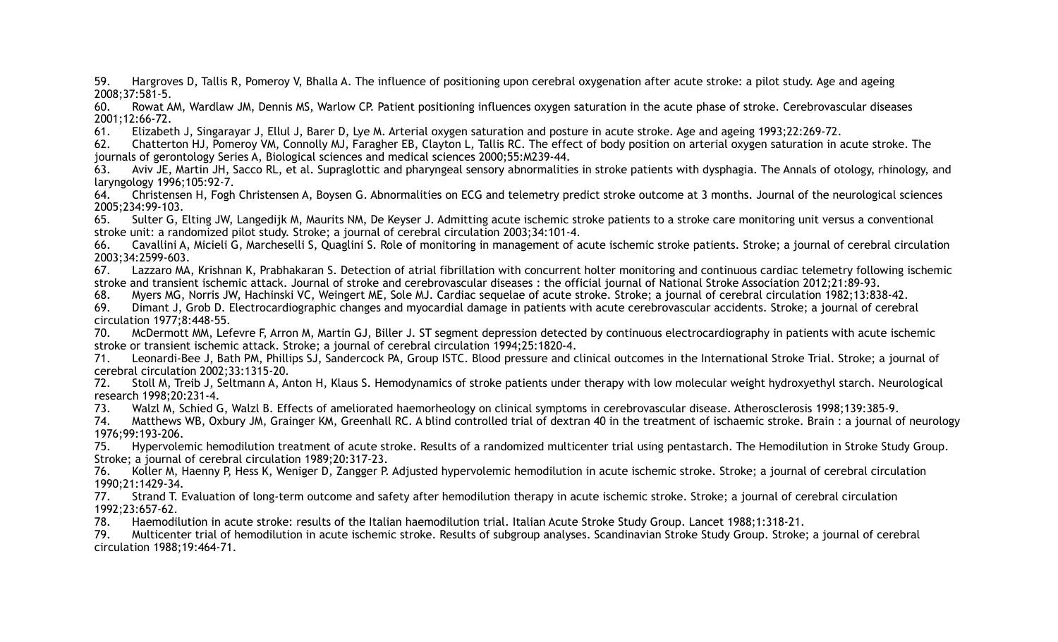59. Hargroves D, Tallis R, Pomeroy V, Bhalla A. The influence of positioning upon cerebral oxygenation after acute stroke: a pilot study. Age and ageing 2008;37:581-5.

60. Rowat AM, Wardlaw JM, Dennis MS, Warlow CP. Patient positioning influences oxygen saturation in the acute phase of stroke. Cerebrovascular diseases 2001;12:66-72.

61. Elizabeth J, Singarayar J, Ellul J, Barer D, Lye M. Arterial oxygen saturation and posture in acute stroke. Age and ageing 1993;22:269-72.

62. Chatterton HJ, Pomeroy VM, Connolly MJ, Faragher EB, Clayton L, Tallis RC. The effect of body position on arterial oxygen saturation in acute stroke. The journals of gerontology Series A, Biological sciences and medical sciences 2000;55:M239-44.

63. Aviv JE, Martin JH, Sacco RL, et al. Supraglottic and pharyngeal sensory abnormalities in stroke patients with dysphagia. The Annals of otology, rhinology, and laryngology 1996;105:92-7.

64. Christensen H, Fogh Christensen A, Boysen G. Abnormalities on ECG and telemetry predict stroke outcome at 3 months. Journal of the neurological sciences 2005;234:99-103.

65. Sulter G, Elting JW, Langedijk M, Maurits NM, De Keyser J. Admitting acute ischemic stroke patients to a stroke care monitoring unit versus a conventional stroke unit: a randomized pilot study. Stroke; a journal of cerebral circulation 2003;34:101-4.

66. Cavallini A, Micieli G, Marcheselli S, Quaglini S. Role of monitoring in management of acute ischemic stroke patients. Stroke; a journal of cerebral circulation 2003;34:2599-603.

67. Lazzaro MA, Krishnan K, Prabhakaran S. Detection of atrial fibrillation with concurrent holter monitoring and continuous cardiac telemetry following ischemic stroke and transient ischemic attack. Journal of stroke and cerebrovascular diseases : the official journal of National Stroke Association 2012;21:89-93.

68. Myers MG, Norris JW, Hachinski VC, Weingert ME, Sole MJ. Cardiac sequelae of acute stroke. Stroke; a journal of cerebral circulation 1982;13:838-42.

69. Dimant J, Grob D. Electrocardiographic changes and myocardial damage in patients with acute cerebrovascular accidents. Stroke; a journal of cerebral circulation 1977;8:448-55.

70. McDermott MM, Lefevre F, Arron M, Martin GJ, Biller J. ST segment depression detected by continuous electrocardiography in patients with acute ischemic stroke or transient ischemic attack. Stroke; a journal of cerebral circulation 1994;25:1820-4.

71. Leonardi-Bee J, Bath PM, Phillips SJ, Sandercock PA, Group ISTC. Blood pressure and clinical outcomes in the International Stroke Trial. Stroke; a journal of cerebral circulation 2002;33:1315-20.

72. Stoll M, Treib J, Seltmann A, Anton H, Klaus S. Hemodynamics of stroke patients under therapy with low molecular weight hydroxyethyl starch. Neurological research 1998;20:231-4.

73. Walzl M, Schied G, Walzl B. Effects of ameliorated haemorheology on clinical symptoms in cerebrovascular disease. Atherosclerosis 1998;139:385-9.

74. Matthews WB, Oxbury JM, Grainger KM, Greenhall RC. A blind controlled trial of dextran 40 in the treatment of ischaemic stroke. Brain : a journal of neurology 1976;99:193-206.

75. Hypervolemic hemodilution treatment of acute stroke. Results of a randomized multicenter trial using pentastarch. The Hemodilution in Stroke Study Group. Stroke; a journal of cerebral circulation 1989;20:317-23.

76. Koller M, Haenny P, Hess K, Weniger D, Zangger P. Adjusted hypervolemic hemodilution in acute ischemic stroke. Stroke; a journal of cerebral circulation 1990;21:1429-34.

77. Strand T. Evaluation of long-term outcome and safety after hemodilution therapy in acute ischemic stroke. Stroke; a journal of cerebral circulation 1992;23:657-62.

78. Haemodilution in acute stroke: results of the Italian haemodilution trial. Italian Acute Stroke Study Group. Lancet 1988;1:318-21.

79. Multicenter trial of hemodilution in acute ischemic stroke. Results of subgroup analyses. Scandinavian Stroke Study Group. Stroke; a journal of cerebral circulation 1988;19:464-71.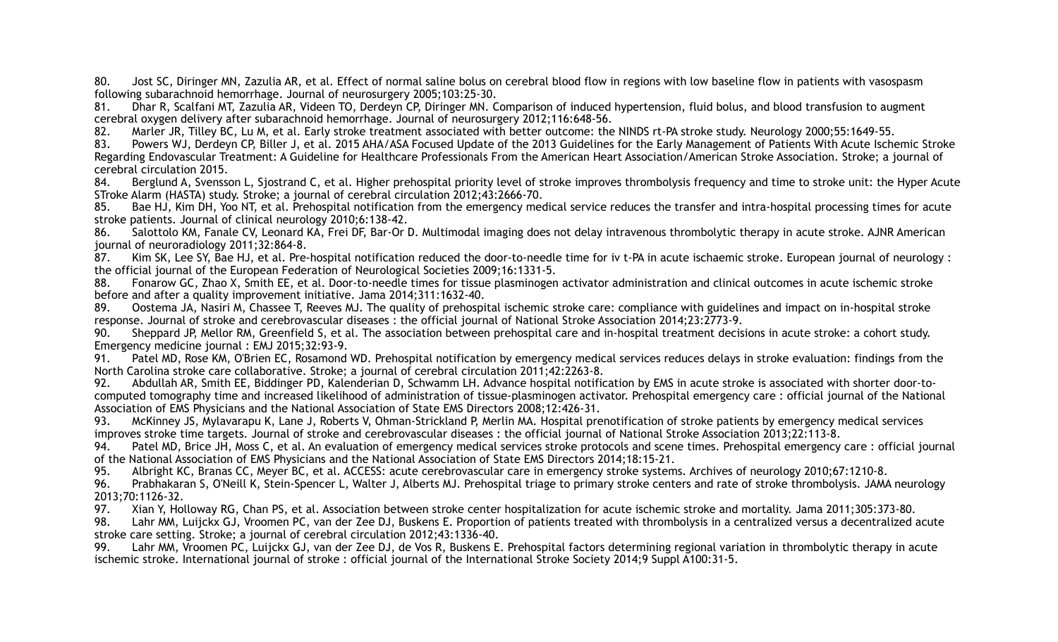80. Jost SC, Diringer MN, Zazulia AR, et al. Effect of normal saline bolus on cerebral blood flow in regions with low baseline flow in patients with vasospasm following subarachnoid hemorrhage. Journal of neurosurgery 2005;103:25-30.

81. Dhar R, Scalfani MT, Zazulia AR, Videen TO, Derdeyn CP, Diringer MN. Comparison of induced hypertension, fluid bolus, and blood transfusion to augment cerebral oxygen delivery after subarachnoid hemorrhage. Journal of neurosurgery 2012;116:648-56.

82. Marler JR, Tilley BC, Lu M, et al. Early stroke treatment associated with better outcome: the NINDS rt-PA stroke study. Neurology 2000;55:1649-55.

83. Powers WJ, Derdeyn CP, Biller J, et al. 2015 AHA/ASA Focused Update of the 2013 Guidelines for the Early Management of Patients With Acute Ischemic Stroke Regarding Endovascular Treatment: A Guideline for Healthcare Professionals From the American Heart Association/American Stroke Association. Stroke; a journal of cerebral circulation 2015.

84. Berglund A, Svensson L, Sjostrand C, et al. Higher prehospital priority level of stroke improves thrombolysis frequency and time to stroke unit: the Hyper Acute STroke Alarm (HASTA) study. Stroke; a journal of cerebral circulation 2012;43:2666-70.

85. Bae HJ, Kim DH, Yoo NT, et al. Prehospital notification from the emergency medical service reduces the transfer and intra-hospital processing times for acute stroke patients. Journal of clinical neurology 2010;6:138-42.

86. Salottolo KM, Fanale CV, Leonard KA, Frei DF, Bar-Or D. Multimodal imaging does not delay intravenous thrombolytic therapy in acute stroke. AJNR American journal of neuroradiology 2011;32:864-8.

87. Kim SK, Lee SY, Bae HJ, et al. Pre-hospital notification reduced the door-to-needle time for iv t-PA in acute ischaemic stroke. European journal of neurology : the official journal of the European Federation of Neurological Societies 2009;16:1331-5.

88. Fonarow GC, Zhao X, Smith EE, et al. Door-to-needle times for tissue plasminogen activator administration and clinical outcomes in acute ischemic stroke before and after a quality improvement initiative. Jama 2014;311:1632-40.

89. Oostema JA, Nasiri M, Chassee T, Reeves MJ. The quality of prehospital ischemic stroke care: compliance with guidelines and impact on in-hospital stroke response. Journal of stroke and cerebrovascular diseases : the official journal of National Stroke Association 2014;23:2773-9.

90. Sheppard JP, Mellor RM, Greenfield S, et al. The association between prehospital care and in-hospital treatment decisions in acute stroke: a cohort study. Emergency medicine journal : EMJ 2015;32:93-9.

91. Patel MD, Rose KM, O'Brien EC, Rosamond WD. Prehospital notification by emergency medical services reduces delays in stroke evaluation: findings from the North Carolina stroke care collaborative. Stroke; a journal of cerebral circulation 2011;42:2263-8.

92. Abdullah AR, Smith EE, Biddinger PD, Kalenderian D, Schwamm LH. Advance hospital notification by EMS in acute stroke is associated with shorter door-tocomputed tomography time and increased likelihood of administration of tissue-plasminogen activator. Prehospital emergency care : official journal of the National Association of EMS Physicians and the National Association of State EMS Directors 2008;12:426-31.

93. McKinney JS, Mylavarapu K, Lane J, Roberts V, Ohman-Strickland P, Merlin MA. Hospital prenotification of stroke patients by emergency medical services improves stroke time targets. Journal of stroke and cerebrovascular diseases : the official journal of National Stroke Association 2013;22:113-8.

94. Patel MD, Brice JH, Moss C, et al. An evaluation of emergency medical services stroke protocols and scene times. Prehospital emergency care : official journal of the National Association of EMS Physicians and the National Association of State EMS Directors 2014;18:15-21.

95. Albright KC, Branas CC, Meyer BC, et al. ACCESS: acute cerebrovascular care in emergency stroke systems. Archives of neurology 2010;67:1210-8.

96. Prabhakaran S, O'Neill K, Stein-Spencer L, Walter J, Alberts MJ. Prehospital triage to primary stroke centers and rate of stroke thrombolysis. JAMA neurology 2013;70:1126-32.

97. Xian Y, Holloway RG, Chan PS, et al. Association between stroke center hospitalization for acute ischemic stroke and mortality. Jama 2011;305:373-80.

98. Lahr MM, Luijckx GJ, Vroomen PC, van der Zee DJ, Buskens E. Proportion of patients treated with thrombolysis in a centralized versus a decentralized acute stroke care setting. Stroke; a journal of cerebral circulation 2012;43:1336-40.

99. Lahr MM, Vroomen PC, Luijckx GJ, van der Zee DJ, de Vos R, Buskens E. Prehospital factors determining regional variation in thrombolytic therapy in acute ischemic stroke. International journal of stroke : official journal of the International Stroke Society 2014;9 Suppl A100:31-5.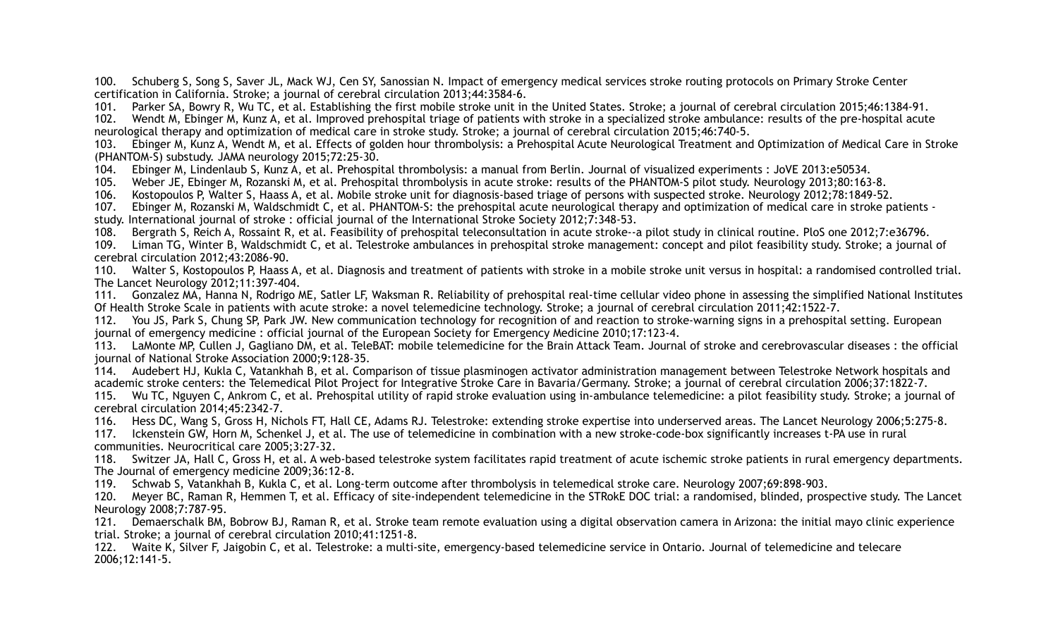100. Schuberg S, Song S, Saver JL, Mack WJ, Cen SY, Sanossian N. Impact of emergency medical services stroke routing protocols on Primary Stroke Center certification in California. Stroke; a journal of cerebral circulation 2013;44:3584-6.

101. Parker SA, Bowry R, Wu TC, et al. Establishing the first mobile stroke unit in the United States. Stroke; a journal of cerebral circulation 2015;46:1384-91.

102. Wendt M, Ebinger M, Kunz A, et al. Improved prehospital triage of patients with stroke in a specialized stroke ambulance: results of the pre-hospital acute neurological therapy and optimization of medical care in stroke study. Stroke; a journal of cerebral circulation 2015;46:740-5.

103. Ebinger M, Kunz A, Wendt M, et al. Effects of golden hour thrombolysis: a Prehospital Acute Neurological Treatment and Optimization of Medical Care in Stroke (PHANTOM-S) substudy. JAMA neurology 2015;72:25-30.

104. Ebinger M, Lindenlaub S, Kunz A, et al. Prehospital thrombolysis: a manual from Berlin. Journal of visualized experiments : JoVE 2013:e50534.

105. Weber JE, Ebinger M, Rozanski M, et al. Prehospital thrombolysis in acute stroke: results of the PHANTOM-S pilot study. Neurology 2013;80:163-8.

106. Kostopoulos P, Walter S, Haass A, et al. Mobile stroke unit for diagnosis-based triage of persons with suspected stroke. Neurology 2012;78:1849-52.

107. Ebinger M, Rozanski M, Waldschmidt C, et al. PHANTOM-S: the prehospital acute neurological therapy and optimization of medical care in stroke patients study. International journal of stroke : official journal of the International Stroke Society 2012;7:348-53.

108. Bergrath S, Reich A, Rossaint R, et al. Feasibility of prehospital teleconsultation in acute stroke--a pilot study in clinical routine. PloS one 2012;7:e36796.

109. Liman TG, Winter B, Waldschmidt C, et al. Telestroke ambulances in prehospital stroke management: concept and pilot feasibility study. Stroke; a journal of cerebral circulation 2012;43:2086-90.

110. Walter S, Kostopoulos P, Haass A, et al. Diagnosis and treatment of patients with stroke in a mobile stroke unit versus in hospital: a randomised controlled trial. The Lancet Neurology 2012;11:397-404.

111. Gonzalez MA, Hanna N, Rodrigo ME, Satler LF, Waksman R. Reliability of prehospital real-time cellular video phone in assessing the simplified National Institutes Of Health Stroke Scale in patients with acute stroke: a novel telemedicine technology. Stroke; a journal of cerebral circulation 2011;42:1522-7.

112. You JS, Park S, Chung SP, Park JW. New communication technology for recognition of and reaction to stroke-warning signs in a prehospital setting. European journal of emergency medicine : official journal of the European Society for Emergency Medicine 2010;17:123-4.

113. LaMonte MP, Cullen J, Gagliano DM, et al. TeleBAT: mobile telemedicine for the Brain Attack Team. Journal of stroke and cerebrovascular diseases : the official journal of National Stroke Association 2000;9:128-35.

114. Audebert HJ, Kukla C, Vatankhah B, et al. Comparison of tissue plasminogen activator administration management between Telestroke Network hospitals and academic stroke centers: the Telemedical Pilot Project for Integrative Stroke Care in Bavaria/Germany. Stroke; a journal of cerebral circulation 2006;37:1822-7.

115. Wu TC, Nguyen C, Ankrom C, et al. Prehospital utility of rapid stroke evaluation using in-ambulance telemedicine: a pilot feasibility study. Stroke; a journal of cerebral circulation 2014;45:2342-7.

116. Hess DC, Wang S, Gross H, Nichols FT, Hall CE, Adams RJ. Telestroke: extending stroke expertise into underserved areas. The Lancet Neurology 2006;5:275-8.

117. Ickenstein GW, Horn M, Schenkel J, et al. The use of telemedicine in combination with a new stroke-code-box significantly increases t-PA use in rural communities. Neurocritical care 2005;3:27-32.

118. Switzer JA, Hall C, Gross H, et al. A web-based telestroke system facilitates rapid treatment of acute ischemic stroke patients in rural emergency departments. The Journal of emergency medicine 2009;36:12-8.

119. Schwab S, Vatankhah B, Kukla C, et al. Long-term outcome after thrombolysis in telemedical stroke care. Neurology 2007;69:898-903.

120. Meyer BC, Raman R, Hemmen T, et al. Efficacy of site-independent telemedicine in the STRokE DOC trial: a randomised, blinded, prospective study. The Lancet Neurology 2008;7:787-95.

121. Demaerschalk BM, Bobrow BJ, Raman R, et al. Stroke team remote evaluation using a digital observation camera in Arizona: the initial mayo clinic experience trial. Stroke; a journal of cerebral circulation 2010;41:1251-8.

122. Waite K, Silver F, Jaigobin C, et al. Telestroke: a multi-site, emergency-based telemedicine service in Ontario. Journal of telemedicine and telecare 2006;12:141-5.